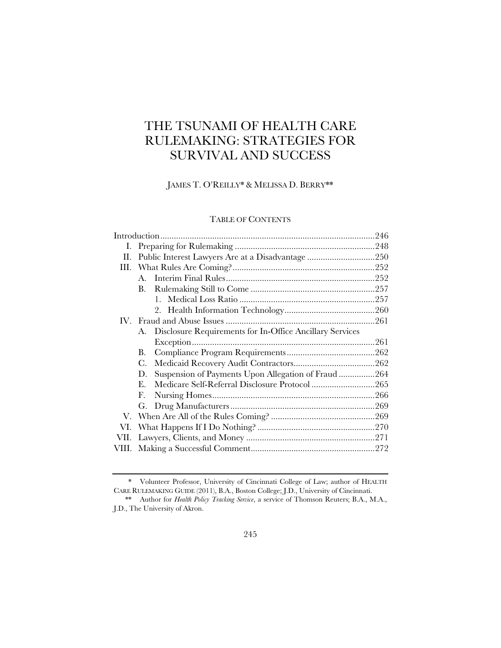# THE TSUNAMI OF HEALTH CARE RULEMAKING: STRATEGIES FOR SURVIVAL AND SUCCESS

JAMES T. O'REILLY\* & MELISSA D. BERRY\*\*

# TABLE OF CONTENTS

| Ι.    |                                                                |  |
|-------|----------------------------------------------------------------|--|
| Н.    | Public Interest Lawyers Are at a Disadvantage 250              |  |
| Ш.    |                                                                |  |
|       | $\mathbf{A}_{\cdot}$                                           |  |
|       | В.                                                             |  |
|       |                                                                |  |
|       |                                                                |  |
|       |                                                                |  |
|       | Disclosure Requirements for In-Office Ancillary Services<br>А. |  |
|       |                                                                |  |
|       | В.                                                             |  |
|       | C.                                                             |  |
|       | Suspension of Payments Upon Allegation of Fraud264<br>D.       |  |
|       | E.                                                             |  |
|       | F.                                                             |  |
|       | G.                                                             |  |
|       |                                                                |  |
| VI.   |                                                                |  |
| VII.  |                                                                |  |
| VIII. |                                                                |  |
|       |                                                                |  |

<sup>\*</sup> Volunteer Professor, University of Cincinnati College of Law; author of HEALTH CARE RULEMAKING GUIDE (2011), B.A., Boston College; J.D., University of Cincinnati.

 <sup>\*\*</sup> Author for *Health Policy Tracking Service*, a service of Thomson Reuters; B.A., M.A., J.D., The University of Akron.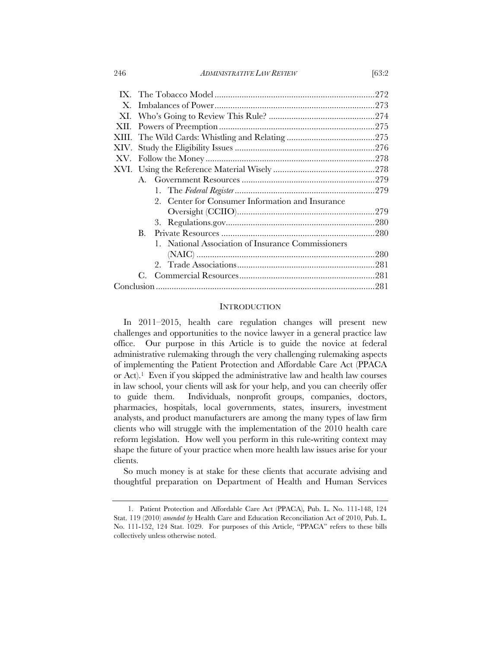#### 246 *ADMINISTRATIVE LAW REVIEW* [63:2

| $X_{-}$ |                |                                                    |  |
|---------|----------------|----------------------------------------------------|--|
| XI.     |                |                                                    |  |
| XII.    |                |                                                    |  |
|         |                |                                                    |  |
|         |                |                                                    |  |
|         |                |                                                    |  |
|         |                |                                                    |  |
|         |                |                                                    |  |
|         |                |                                                    |  |
|         |                | 2. Center for Consumer Information and Insurance   |  |
|         |                |                                                    |  |
|         |                | 3.                                                 |  |
|         | $\mathbf{B}$ . |                                                    |  |
|         |                | 1. National Association of Insurance Commissioners |  |
|         |                |                                                    |  |
|         |                |                                                    |  |
|         | $C_{\cdot}$    |                                                    |  |
|         |                |                                                    |  |
|         |                |                                                    |  |

# **INTRODUCTION**

In 2011–2015, health care regulation changes will present new challenges and opportunities to the novice lawyer in a general practice law office. Our purpose in this Article is to guide the novice at federal administrative rulemaking through the very challenging rulemaking aspects of implementing the Patient Protection and Affordable Care Act (PPACA or Act).1 Even if you skipped the administrative law and health law courses in law school, your clients will ask for your help, and you can cheerily offer to guide them. Individuals, nonprofit groups, companies, doctors, pharmacies, hospitals, local governments, states, insurers, investment analysts, and product manufacturers are among the many types of law firm clients who will struggle with the implementation of the 2010 health care reform legislation. How well you perform in this rule-writing context may shape the future of your practice when more health law issues arise for your clients.

So much money is at stake for these clients that accurate advising and thoughtful preparation on Department of Health and Human Services

<sup>1.</sup> Patient Protection and Affordable Care Act (PPACA), Pub. L. No. 111-148, 124 Stat. 119 (2010) *amended by* Health Care and Education Reconciliation Act of 2010, Pub. L. No. 111-152, 124 Stat. 1029. For purposes of this Article, "PPACA" refers to these bills collectively unless otherwise noted.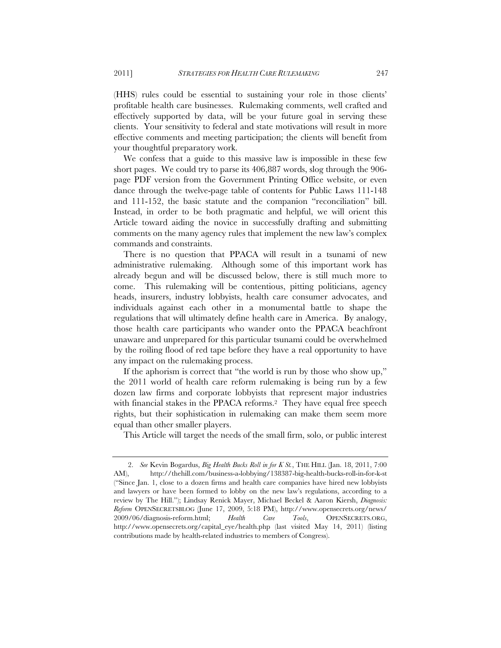(HHS) rules could be essential to sustaining your role in those clients' profitable health care businesses. Rulemaking comments, well crafted and effectively supported by data, will be your future goal in serving these clients. Your sensitivity to federal and state motivations will result in more effective comments and meeting participation; the clients will benefit from your thoughtful preparatory work.

We confess that a guide to this massive law is impossible in these few short pages. We could try to parse its 406,887 words, slog through the 906 page PDF version from the Government Printing Office website, or even dance through the twelve-page table of contents for Public Laws 111-148 and 111-152, the basic statute and the companion "reconciliation" bill. Instead, in order to be both pragmatic and helpful, we will orient this Article toward aiding the novice in successfully drafting and submitting comments on the many agency rules that implement the new law's complex commands and constraints.

There is no question that PPACA will result in a tsunami of new administrative rulemaking. Although some of this important work has already begun and will be discussed below, there is still much more to come. This rulemaking will be contentious, pitting politicians, agency heads, insurers, industry lobbyists, health care consumer advocates, and individuals against each other in a monumental battle to shape the regulations that will ultimately define health care in America. By analogy, those health care participants who wander onto the PPACA beachfront unaware and unprepared for this particular tsunami could be overwhelmed by the roiling flood of red tape before they have a real opportunity to have any impact on the rulemaking process.

If the aphorism is correct that "the world is run by those who show up," the 2011 world of health care reform rulemaking is being run by a few dozen law firms and corporate lobbyists that represent major industries with financial stakes in the PPACA reforms.<sup>2</sup> They have equal free speech rights, but their sophistication in rulemaking can make them seem more equal than other smaller players.

This Article will target the needs of the small firm, solo, or public interest

<sup>2.</sup> *See* Kevin Bogardus, *Big Health Bucks Roll in for K St.*, THE HILL (Jan. 18, 2011, 7:00 AM), http://thehill.com/business-a-lobbying/138387-big-health-bucks-roll-in-for-k-st ("Since Jan. 1, close to a dozen firms and health care companies have hired new lobbyists and lawyers or have been formed to lobby on the new law's regulations, according to a review by The Hill."); Lindsay Renick Mayer, Michael Beckel & Aaron Kiersh, *Diagnosis: Reform* OPENSECRETSBLOG (June 17, 2009, 5:18 PM), http://www.opensecrets.org/news/ 2009/06/diagnosis-reform.html; *Health Care Tools*, OPENSECRETS.ORG, http://www.opensecrets.org/capital\_eye/health.php (last visited May 14, 2011) (listing contributions made by health-related industries to members of Congress).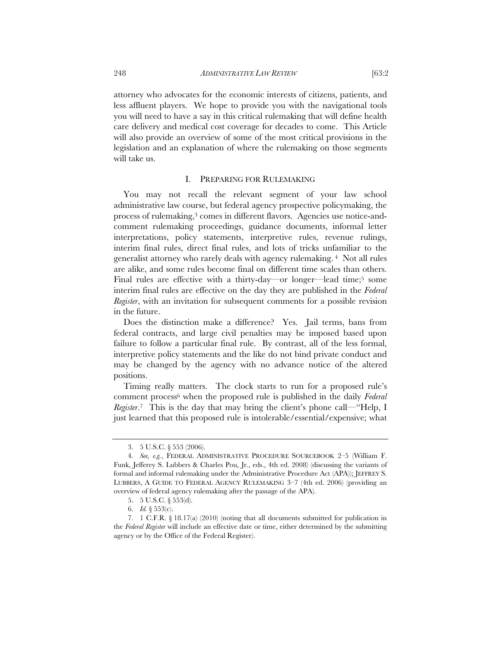attorney who advocates for the economic interests of citizens, patients, and less affluent players. We hope to provide you with the navigational tools you will need to have a say in this critical rulemaking that will define health care delivery and medical cost coverage for decades to come. This Article will also provide an overview of some of the most critical provisions in the legislation and an explanation of where the rulemaking on those segments will take us.

## I. PREPARING FOR RULEMAKING

You may not recall the relevant segment of your law school administrative law course, but federal agency prospective policymaking, the process of rulemaking,<sup>3</sup> comes in different flavors. Agencies use notice-andcomment rulemaking proceedings, guidance documents, informal letter interpretations, policy statements, interpretive rules, revenue rulings, interim final rules, direct final rules, and lots of tricks unfamiliar to the generalist attorney who rarely deals with agency rulemaking. 4 Not all rules are alike, and some rules become final on different time scales than others. Final rules are effective with a thirty-day—or longer—lead time;<sup>5</sup> some interim final rules are effective on the day they are published in the *Federal Register*, with an invitation for subsequent comments for a possible revision in the future.

Does the distinction make a difference? Yes. Jail terms, bans from federal contracts, and large civil penalties may be imposed based upon failure to follow a particular final rule. By contrast, all of the less formal, interpretive policy statements and the like do not bind private conduct and may be changed by the agency with no advance notice of the altered positions.

Timing really matters. The clock starts to run for a proposed rule's comment process6 when the proposed rule is published in the daily *Federal Register*.<sup>7</sup> This is the day that may bring the client's phone call—"Help, I just learned that this proposed rule is intolerable/essential/expensive; what

<sup>3. 5</sup> U.S.C. § 553 (2006).

<sup>4</sup>*. See, e.g.*, FEDERAL ADMINISTRATIVE PROCEDURE SOURCEBOOK 2–5 (William F. Funk, Jefferey S. Lubbers & Charles Pou, Jr., eds., 4th ed. 2008) (discussing the variants of formal and informal rulemaking under the Administrative Procedure Act (APA)); JEFFREY S. LUBBERS, A GUIDE TO FEDERAL AGENCY RULEMAKING 3–7 (4th ed. 2006) (providing an overview of federal agency rulemaking after the passage of the APA).

<sup>5. 5</sup> U.S.C. § 553(d).

<sup>6.</sup> *Id.* § 553(c).

<sup>7. 1</sup> C.F.R. § 18.17(a) (2010) (noting that all documents submitted for publication in the *Federal Register* will include an effective date or time, either determined by the submitting agency or by the Office of the Federal Register).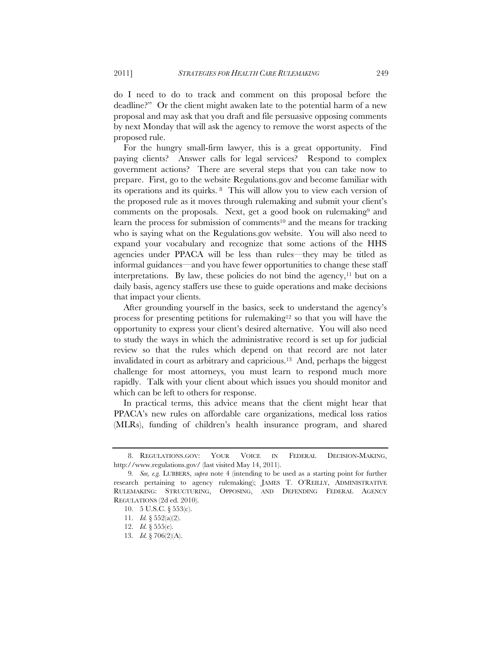do I need to do to track and comment on this proposal before the deadline?" Or the client might awaken late to the potential harm of a new proposal and may ask that you draft and file persuasive opposing comments by next Monday that will ask the agency to remove the worst aspects of the proposed rule.

For the hungry small-firm lawyer, this is a great opportunity. Find paying clients? Answer calls for legal services? Respond to complex government actions? There are several steps that you can take now to prepare. First, go to the website Regulations.gov and become familiar with its operations and its quirks. 8 This will allow you to view each version of the proposed rule as it moves through rulemaking and submit your client's comments on the proposals. Next, get a good book on rulemaking9 and learn the process for submission of comments<sup>10</sup> and the means for tracking who is saying what on the Regulations.gov website. You will also need to expand your vocabulary and recognize that some actions of the HHS agencies under PPACA will be less than rules—they may be titled as informal guidances—and you have fewer opportunities to change these staff interpretations. By law, these policies do not bind the agency,<sup>11</sup> but on a daily basis, agency staffers use these to guide operations and make decisions that impact your clients.

After grounding yourself in the basics, seek to understand the agency's process for presenting petitions for rulemaking12 so that you will have the opportunity to express your client's desired alternative. You will also need to study the ways in which the administrative record is set up for judicial review so that the rules which depend on that record are not later invalidated in court as arbitrary and capricious.13 And, perhaps the biggest challenge for most attorneys, you must learn to respond much more rapidly. Talk with your client about which issues you should monitor and which can be left to others for response.

In practical terms, this advice means that the client might hear that PPACA's new rules on affordable care organizations, medical loss ratios (MLRs), funding of children's health insurance program, and shared

<sup>8.</sup> REGULATIONS.GOV: YOUR VOICE IN FEDERAL DECISION-MAKING, http://www.regulations.gov/ (last visited May 14, 2011).

<sup>9</sup>*. See, e.g.* LUBBERS, *supra* note 4 (intending to be used as a starting point for further research pertaining to agency rulemaking); JAMES T. O'REILLY, ADMINISTRATIVE RULEMAKING: STRUCTURING, OPPOSING, AND DEFENDING FEDERAL AGENCY REGULATIONS (2d ed. 2010).

<sup>10. 5</sup> U.S.C. § 553(c).

<sup>11.</sup> *Id.* § 552(a)(2).

<sup>12.</sup> *Id.* § 555(e).

<sup>13.</sup> *Id.* § 706(2)(A).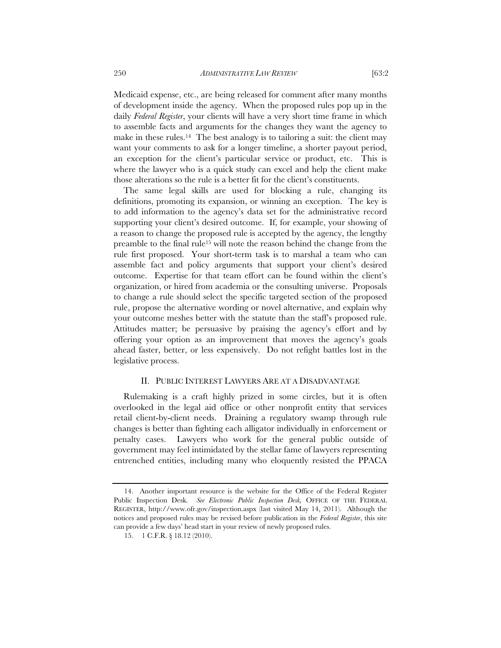Medicaid expense, etc., are being released for comment after many months of development inside the agency. When the proposed rules pop up in the daily *Federal Register*, your clients will have a very short time frame in which to assemble facts and arguments for the changes they want the agency to make in these rules.<sup>14</sup> The best analogy is to tailoring a suit: the client may want your comments to ask for a longer timeline, a shorter payout period, an exception for the client's particular service or product, etc. This is where the lawyer who is a quick study can excel and help the client make those alterations so the rule is a better fit for the client's constituents.

The same legal skills are used for blocking a rule, changing its definitions, promoting its expansion, or winning an exception. The key is to add information to the agency's data set for the administrative record supporting your client's desired outcome. If, for example, your showing of a reason to change the proposed rule is accepted by the agency, the lengthy preamble to the final rule15 will note the reason behind the change from the rule first proposed. Your short-term task is to marshal a team who can assemble fact and policy arguments that support your client's desired outcome. Expertise for that team effort can be found within the client's organization, or hired from academia or the consulting universe. Proposals to change a rule should select the specific targeted section of the proposed rule, propose the alternative wording or novel alternative, and explain why your outcome meshes better with the statute than the staff's proposed rule. Attitudes matter; be persuasive by praising the agency's effort and by offering your option as an improvement that moves the agency's goals ahead faster, better, or less expensively. Do not refight battles lost in the legislative process.

## II. PUBLIC INTEREST LAWYERS ARE AT A DISADVANTAGE

Rulemaking is a craft highly prized in some circles, but it is often overlooked in the legal aid office or other nonprofit entity that services retail client-by-client needs. Draining a regulatory swamp through rule changes is better than fighting each alligator individually in enforcement or penalty cases. Lawyers who work for the general public outside of government may feel intimidated by the stellar fame of lawyers representing entrenched entities, including many who eloquently resisted the PPACA

<sup>14.</sup> Another important resource is the website for the Office of the Federal Register Public Inspection Desk. *See Electronic Public Inspection Desk,* OFFICE OF THE FEDERAL REGISTER, http://www.ofr.gov/inspection.aspx (last visited May 14, 2011). Although the notices and proposed rules may be revised before publication in the *Federal Register*, this site can provide a few days' head start in your review of newly proposed rules.

<sup>15. 1</sup> C.F.R. § 18.12 (2010).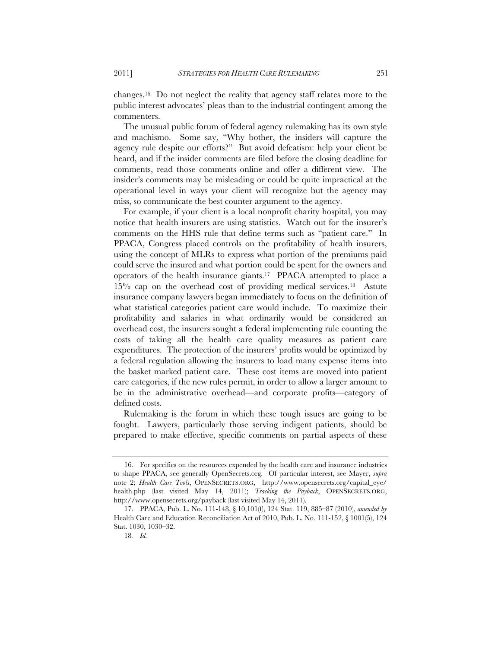changes.16 Do not neglect the reality that agency staff relates more to the public interest advocates' pleas than to the industrial contingent among the commenters.

The unusual public forum of federal agency rulemaking has its own style and machismo. Some say, "Why bother, the insiders will capture the agency rule despite our efforts?" But avoid defeatism: help your client be heard, and if the insider comments are filed before the closing deadline for comments, read those comments online and offer a different view. The insider's comments may be misleading or could be quite impractical at the operational level in ways your client will recognize but the agency may miss, so communicate the best counter argument to the agency.

For example, if your client is a local nonprofit charity hospital, you may notice that health insurers are using statistics. Watch out for the insurer's comments on the HHS rule that define terms such as "patient care." In PPACA, Congress placed controls on the profitability of health insurers, using the concept of MLRs to express what portion of the premiums paid could serve the insured and what portion could be spent for the owners and operators of the health insurance giants.17 PPACA attempted to place a 15% cap on the overhead cost of providing medical services.18 Astute insurance company lawyers began immediately to focus on the definition of what statistical categories patient care would include. To maximize their profitability and salaries in what ordinarily would be considered an overhead cost, the insurers sought a federal implementing rule counting the costs of taking all the health care quality measures as patient care expenditures. The protection of the insurers' profits would be optimized by a federal regulation allowing the insurers to load many expense items into the basket marked patient care. These cost items are moved into patient care categories, if the new rules permit, in order to allow a larger amount to be in the administrative overhead—and corporate profits—category of defined costs.

Rulemaking is the forum in which these tough issues are going to be fought. Lawyers, particularly those serving indigent patients, should be prepared to make effective, specific comments on partial aspects of these

<sup>16.</sup> For specifics on the resources expended by the health care and insurance industries to shape PPACA, see generally OpenSecrets.org. Of particular interest, see Mayer, *supra* note 2; *Health Care Tools*, OPENSECRETS.ORG, http://www.opensecrets.org/capital\_eye/ health.php (last visited May 14, 2011); *Tracking the Payback*, OPENSECRETS.ORG, http://www.opensecrets.org/payback (last visited May 14, 2011).

<sup>17.</sup> PPACA, Pub. L. No. 111-148, § 10,101(f), 124 Stat. 119, 885–87 (2010), *amended by* Health Care and Education Reconciliation Act of 2010, Pub. L. No. 111-152, § 1001(5), 124 Stat. 1030, 1030–32.

<sup>18</sup>*. Id.*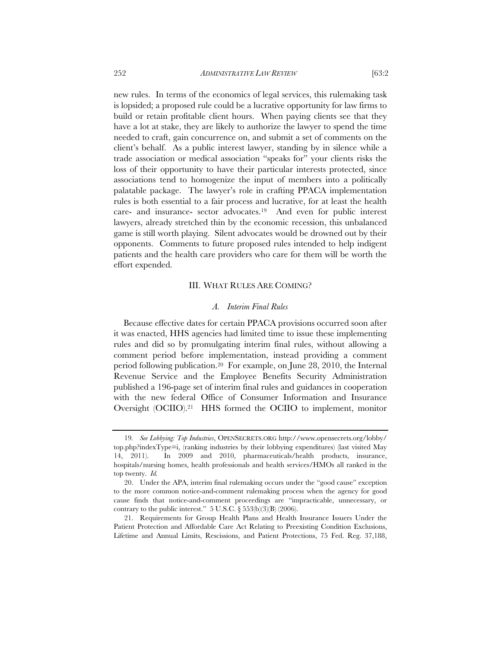new rules. In terms of the economics of legal services, this rulemaking task is lopsided; a proposed rule could be a lucrative opportunity for law firms to build or retain profitable client hours. When paying clients see that they have a lot at stake, they are likely to authorize the lawyer to spend the time needed to craft, gain concurrence on, and submit a set of comments on the client's behalf. As a public interest lawyer, standing by in silence while a trade association or medical association "speaks for" your clients risks the loss of their opportunity to have their particular interests protected, since associations tend to homogenize the input of members into a politically palatable package. The lawyer's role in crafting PPACA implementation rules is both essential to a fair process and lucrative, for at least the health care- and insurance- sector advocates.19 And even for public interest lawyers, already stretched thin by the economic recession, this unbalanced game is still worth playing. Silent advocates would be drowned out by their opponents. Comments to future proposed rules intended to help indigent patients and the health care providers who care for them will be worth the effort expended.

## III. WHAT RULES ARE COMING?

#### *A. Interim Final Rules*

Because effective dates for certain PPACA provisions occurred soon after it was enacted, HHS agencies had limited time to issue these implementing rules and did so by promulgating interim final rules, without allowing a comment period before implementation, instead providing a comment period following publication.20 For example, on June 28, 2010, the Internal Revenue Service and the Employee Benefits Security Administration published a 196-page set of interim final rules and guidances in cooperation with the new federal Office of Consumer Information and Insurance Oversight (OCIIO).21 HHS formed the OCIIO to implement, monitor

<sup>19</sup>*. See Lobbying: Top Industries*, OPENSECRETS.ORG http://www.opensecrets.org/lobby/ top.php?indexType=i, (ranking industries by their lobbying expenditures) (last visited May 14, 2011). In 2009 and 2010, pharmaceuticals/health products, insurance, hospitals/nursing homes, health professionals and health services/HMOs all ranked in the top twenty. *Id.*

<sup>20.</sup> Under the APA, interim final rulemaking occurs under the "good cause" exception to the more common notice-and-comment rulemaking process when the agency for good cause finds that notice-and-comment proceedings are "impracticable, unnecessary, or contrary to the public interest."  $5$  U.S.C.  $\S 553(b)(3)(B)$  (2006).

<sup>21.</sup> Requirements for Group Health Plans and Health Insurance Issuers Under the Patient Protection and Affordable Care Act Relating to Preexisting Condition Exclusions, Lifetime and Annual Limits, Rescissions, and Patient Protections, 75 Fed. Reg. 37,188,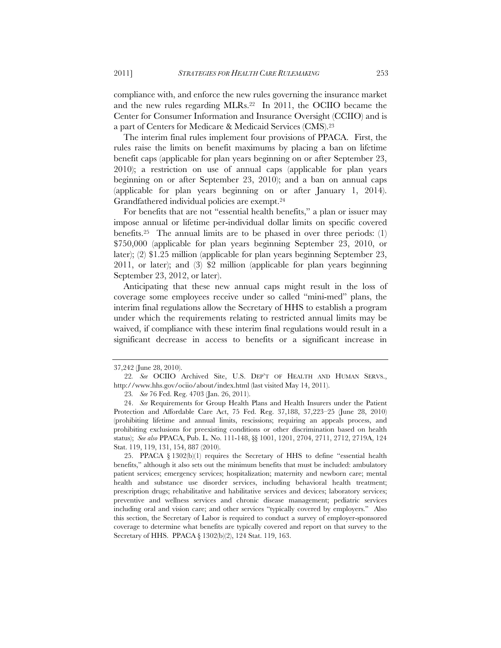compliance with, and enforce the new rules governing the insurance market and the new rules regarding MLRs.22 In 2011, the OCIIO became the Center for Consumer Information and Insurance Oversight (CCIIO) and is a part of Centers for Medicare & Medicaid Services (CMS).23

The interim final rules implement four provisions of PPACA. First, the rules raise the limits on benefit maximums by placing a ban on lifetime benefit caps (applicable for plan years beginning on or after September 23, 2010); a restriction on use of annual caps (applicable for plan years beginning on or after September 23, 2010); and a ban on annual caps (applicable for plan years beginning on or after January 1, 2014). Grandfathered individual policies are exempt.24

For benefits that are not "essential health benefits," a plan or issuer may impose annual or lifetime per-individual dollar limits on specific covered benefits.25 The annual limits are to be phased in over three periods: (1) \$750,000 (applicable for plan years beginning September 23, 2010, or later); (2) \$1.25 million (applicable for plan years beginning September 23, 2011, or later); and (3) \$2 million (applicable for plan years beginning September 23, 2012, or later).

Anticipating that these new annual caps might result in the loss of coverage some employees receive under so called "mini-med" plans, the interim final regulations allow the Secretary of HHS to establish a program under which the requirements relating to restricted annual limits may be waived, if compliance with these interim final regulations would result in a significant decrease in access to benefits or a significant increase in

25. PPACA § 1302(b)(1) requires the Secretary of HHS to define "essential health benefits," although it also sets out the minimum benefits that must be included: ambulatory patient services; emergency services; hospitalization; maternity and newborn care; mental health and substance use disorder services, including behavioral health treatment; prescription drugs; rehabilitative and habilitative services and devices; laboratory services; preventive and wellness services and chronic disease management; pediatric services including oral and vision care; and other services "typically covered by employers." Also this section, the Secretary of Labor is required to conduct a survey of employer-sponsored coverage to determine what benefits are typically covered and report on that survey to the Secretary of HHS. PPACA § 1302(b)(2), 124 Stat. 119, 163.

<sup>37,242 (</sup>June 28, 2010).

<sup>22</sup>*. See* OCIIO Archived Site, U.S. DEP'T OF HEALTH AND HUMAN SERVS., http://www.hhs.gov/ociio/about/index.html (last visited May 14, 2011).

<sup>23</sup>*. See* 76 Fed. Reg. 4703 (Jan. 26, 2011).

<sup>24.</sup> *See* Requirements for Group Health Plans and Health Insurers under the Patient Protection and Affordable Care Act, 75 Fed. Reg. 37,188, 37,223–25 (June 28, 2010) (prohibiting lifetime and annual limits, rescissions; requiring an appeals process, and prohibiting exclusions for preexisting conditions or other discrimination based on health status); *See also* PPACA, Pub. L. No. 111-148, §§ 1001, 1201, 2704, 2711, 2712, 2719A, 124 Stat. 119, 119, 131, 154, 887 (2010).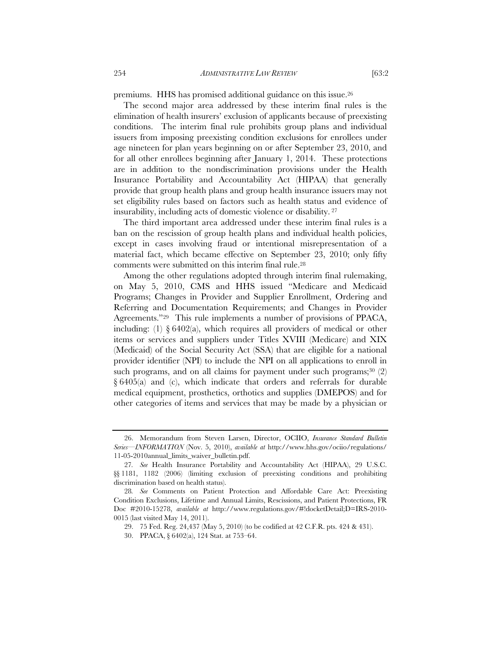premiums. HHS has promised additional guidance on this issue.26

The second major area addressed by these interim final rules is the elimination of health insurers' exclusion of applicants because of preexisting conditions. The interim final rule prohibits group plans and individual issuers from imposing preexisting condition exclusions for enrollees under age nineteen for plan years beginning on or after September 23, 2010, and for all other enrollees beginning after January 1, 2014. These protections are in addition to the nondiscrimination provisions under the Health Insurance Portability and Accountability Act (HIPAA) that generally provide that group health plans and group health insurance issuers may not set eligibility rules based on factors such as health status and evidence of insurability, including acts of domestic violence or disability. 27

The third important area addressed under these interim final rules is a ban on the rescission of group health plans and individual health policies, except in cases involving fraud or intentional misrepresentation of a material fact, which became effective on September 23, 2010; only fifty comments were submitted on this interim final rule.28

Among the other regulations adopted through interim final rulemaking, on May 5, 2010, CMS and HHS issued "Medicare and Medicaid Programs; Changes in Provider and Supplier Enrollment, Ordering and Referring and Documentation Requirements; and Changes in Provider Agreements."29 This rule implements a number of provisions of PPACA, including: (1) § 6402(a), which requires all providers of medical or other items or services and suppliers under Titles XVIII (Medicare) and XIX (Medicaid) of the Social Security Act (SSA) that are eligible for a national provider identifier (NPI) to include the NPI on all applications to enroll in such programs, and on all claims for payment under such programs; $30$  (2) § 6405(a) and (c), which indicate that orders and referrals for durable medical equipment, prosthetics, orthotics and supplies (DMEPOS) and for other categories of items and services that may be made by a physician or

<sup>26.</sup> Memorandum from Steven Larsen, Director, OCIIO, *Insurance Standard Bulletin Series—INFORMATION* (Nov. 5, 2010), *available at* http://www.hhs.gov/ociio/regulations/ 11-05-2010annual\_limits\_waiver\_bulletin.pdf.

<sup>27</sup>*. See* Health Insurance Portability and Accountability Act (HIPAA), 29 U.S.C. §§ 1181, 1182 (2006) (limiting exclusion of preexisting conditions and prohibiting discrimination based on health status).

<sup>28</sup>*. See* Comments on Patient Protection and Affordable Care Act: Preexisting Condition Exclusions, Lifetime and Annual Limits, Rescissions, and Patient Protections, FR Doc #2010-15278, *available at* http://www.regulations.gov/#!docketDetail;D=IRS-2010- 0015 (last visited May 14, 2011).

<sup>29. 75</sup> Fed. Reg. 24,437 (May 5, 2010) (to be codified at 42 C.F.R. pts. 424 & 431).

<sup>30.</sup> PPACA, § 6402(a), 124 Stat. at 753–64.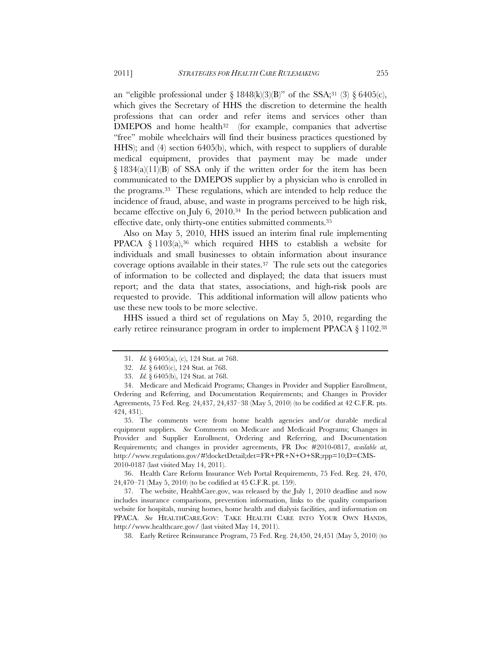an "eligible professional under  $\S$  1848(k)(3)(B)" of the SSA;<sup>31</sup> (3)  $\S$  6405(c), which gives the Secretary of HHS the discretion to determine the health professions that can order and refer items and services other than  $DMEPOS$  and home health<sup>32</sup> (for example, companies that advertise "free" mobile wheelchairs will find their business practices questioned by HHS); and (4) section 6405(b), which, with respect to suppliers of durable medical equipment, provides that payment may be made under § 1834(a)(11)(B) of SSA only if the written order for the item has been communicated to the DMEPOS supplier by a physician who is enrolled in the programs.33 These regulations, which are intended to help reduce the incidence of fraud, abuse, and waste in programs perceived to be high risk, became effective on July 6, 2010.34 In the period between publication and effective date, only thirty-one entities submitted comments.35

Also on May 5, 2010, HHS issued an interim final rule implementing PPACA  $\S 1103(a),^{36}$  which required HHS to establish a website for individuals and small businesses to obtain information about insurance coverage options available in their states.37 The rule sets out the categories of information to be collected and displayed; the data that issuers must report; and the data that states, associations, and high-risk pools are requested to provide. This additional information will allow patients who use these new tools to be more selective.

HHS issued a third set of regulations on May 5, 2010, regarding the early retiree reinsurance program in order to implement PPACA § 1102.38

35. The comments were from home health agencies and/or durable medical equipment suppliers. *See* Comments on Medicare and Medicaid Programs; Changes in Provider and Supplier Enrollment, Ordering and Referring, and Documentation Requirements; and changes in provider agreements, FR Doc #2010-0817, *available at*, http://www.regulations.gov/#!docketDetail;det=FR+PR+N+O+SR;rpp=10;D=CMS-2010-0187 (last visited May 14, 2011).

36. Health Care Reform Insurance Web Portal Requirements, 75 Fed. Reg. 24, 470, 24,470–71 (May 5, 2010) (to be codified at 45 C.F.R. pt. 159).

37. The website, HealthCare.gov, was released by the July 1, 2010 deadline and now includes insurance comparisons, prevention information, links to the quality comparison website for hospitals, nursing homes, home health and dialysis facilities, and information on PPACA. *See* HEALTHCARE.GOV: TAKE HEALTH CARE INTO YOUR OWN HANDS, http://www.healthcare.gov/ (last visited May 14, 2011).

38. Early Retiree Reinsurance Program, 75 Fed. Reg. 24,450, 24,451 (May 5, 2010) (to

<sup>31.</sup> *Id.* § 6405(a), (c), 124 Stat. at 768.

<sup>32.</sup> *Id.* § 6405(c), 124 Stat. at 768.

<sup>33.</sup> *Id.* § 6405(b), 124 Stat. at 768.

<sup>34.</sup> Medicare and Medicaid Programs; Changes in Provider and Supplier Enrollment, Ordering and Referring, and Documentation Requirements; and Changes in Provider Agreements, 75 Fed. Reg. 24,437, 24,437–38 (May 5, 2010) (to be codified at 42 C.F.R. pts. 424, 431).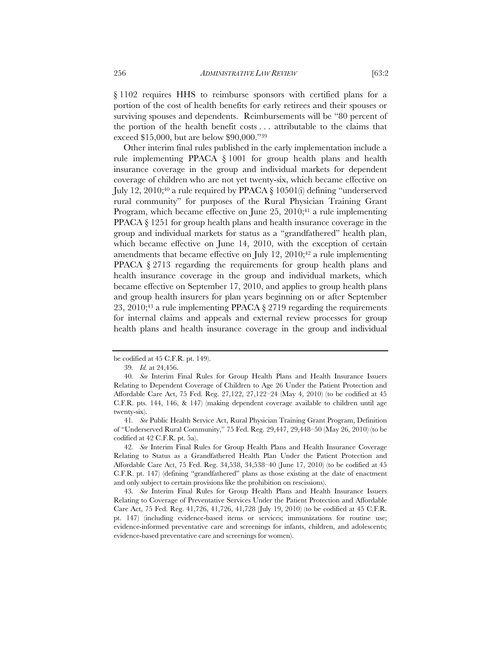§ 1102 requires HHS to reimburse sponsors with certified plans for a portion of the cost of health benefits for early retirees and their spouses or surviving spouses and dependents. Reimbursements will be "80 percent of the portion of the health benefit costs . . . attributable to the claims that exceed \$15,000, but are below \$90,000."39

Other interim final rules published in the early implementation include a rule implementing PPACA § 1001 for group health plans and health insurance coverage in the group and individual markets for dependent coverage of children who are not yet twenty-six, which became effective on July 12, 2010;40 a rule required by PPACA § 10501(i) defining "underserved rural community" for purposes of the Rural Physician Training Grant Program, which became effective on June  $25$ ,  $2010;41$  a rule implementing PPACA § 1251 for group health plans and health insurance coverage in the group and individual markets for status as a "grandfathered" health plan, which became effective on June 14, 2010, with the exception of certain amendments that became effective on July 12,  $2010;42$  a rule implementing PPACA § 2713 regarding the requirements for group health plans and health insurance coverage in the group and individual markets, which became effective on September 17, 2010, and applies to group health plans and group health insurers for plan years beginning on or after September 23, 2010;43 a rule implementing PPACA § 2719 regarding the requirements for internal claims and appeals and external review processes for group health plans and health insurance coverage in the group and individual

be codified at 45 C.F.R. pt. 149).

<sup>39</sup>*. Id.* at 24,456.

<sup>40</sup>*. See* Interim Final Rules for Group Health Plans and Health Insurance Issuers Relating to Dependent Coverage of Children to Age 26 Under the Patient Protection and Affordable Care Act, 75 Fed. Reg. 27,122, 27,122–24 (May 4, 2010) (to be codified at 45 C.F.R. pts. 144, 146, & 147) (making dependent coverage available to children until age twenty-six).

<sup>41</sup>*. See* Public Health Service Act, Rural Physician Training Grant Program, Definition of "Underserved Rural Community," 75 Fed. Reg. 29,447, 29,448–50 (May 26, 2010) (to be codified at 42 C.F.R. pt. 5a).

<sup>42</sup>*. See* Interim Final Rules for Group Health Plans and Health Insurance Coverage Relating to Status as a Grandfathered Health Plan Under the Patient Protection and Affordable Care Act, 75 Fed. Reg. 34,538, 34,538–40 (June 17, 2010) (to be codified at 45 C.F.R. pt. 147) (defining "grandfathered" plans as those existing at the date of enactment and only subject to certain provisions like the prohibition on rescissions).

<sup>43</sup>*. See* Interim Final Rules for Group Health Plans and Health Insurance Issuers Relating to Coverage of Preventative Services Under the Patient Protection and Affordable Care Act, 75 Fed. Reg. 41,726, 41,726, 41,728 (July 19, 2010) (to be codified at 45 C.F.R. pt. 147) (including evidence-based items or services; immunizations for routine use; evidence-informed preventative care and screenings for infants, children, and adolescents; evidence-based preventative care and screenings for women).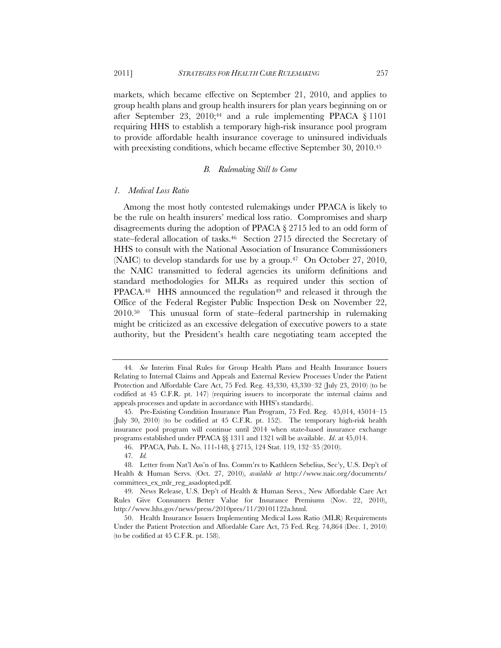markets, which became effective on September 21, 2010, and applies to group health plans and group health insurers for plan years beginning on or after September 23, 2010;44 and a rule implementing PPACA § 1101 requiring HHS to establish a temporary high-risk insurance pool program to provide affordable health insurance coverage to uninsured individuals with preexisting conditions, which became effective September 30, 2010.<sup>45</sup>

# *B. Rulemaking Still to Come*

#### *1. Medical Loss Ratio*

Among the most hotly contested rulemakings under PPACA is likely to be the rule on health insurers' medical loss ratio. Compromises and sharp disagreements during the adoption of PPACA § 2715 led to an odd form of state–federal allocation of tasks.<sup>46</sup> Section 2715 directed the Secretary of HHS to consult with the National Association of Insurance Commissioners (NAIC) to develop standards for use by a group. $47$  On October 27, 2010, the NAIC transmitted to federal agencies its uniform definitions and standard methodologies for MLRs as required under this section of  $PPACA<sup>48</sup>$  HHS announced the regulation<sup>49</sup> and released it through the Office of the Federal Register Public Inspection Desk on November 22, 2010.50 This unusual form of state–federal partnership in rulemaking might be criticized as an excessive delegation of executive powers to a state authority, but the President's health care negotiating team accepted the

<sup>44</sup>*. See* Interim Final Rules for Group Health Plans and Health Insurance Issuers Relating to Internal Claims and Appeals and External Review Processes Under the Patient Protection and Affordable Care Act, 75 Fed. Reg. 43,330, 43,330–32 (July 23, 2010) (to be codified at 45 C.F.R. pt. 147) (requiring issuers to incorporate the internal claims and appeals processes and update in accordance with HHS's standards).

<sup>45.</sup> Pre-Existing Condition Insurance Plan Program, 75 Fed. Reg. 45,014, 45014–15 (July 30, 2010) (to be codified at 45 C.F.R. pt. 152). The temporary high-risk health insurance pool program will continue until 2014 when state-based insurance exchange programs established under PPACA §§ 1311 and 1321 will be available. *Id*. at 45,014.

<sup>46.</sup> PPACA, Pub. L. No. 111-148, § 2715, 124 Stat. 119, 132–35 (2010).

<sup>47</sup>*. Id.*

<sup>48.</sup> Letter from Nat'l Ass'n of Ins. Comm'rs to Kathleen Sebelius, Sec'y, U.S. Dep't of Health & Human Servs. (Oct. 27, 2010), *available at* http://www.naic.org/documents/ committees\_ex\_mlr\_reg\_asadopted.pdf.

<sup>49.</sup> News Release, U.S. Dep't of Health & Human Servs., New Affordable Care Act Rules Give Consumers Better Value for Insurance Premiums (Nov. 22, 2010), http://www.hhs.gov/news/press/2010pres/11/20101122a.html.

<sup>50.</sup> Health Insurance Issuers Implementing Medical Loss Ratio (MLR) Requirements Under the Patient Protection and Affordable Care Act, 75 Fed. Reg. 74,864 (Dec. 1, 2010) (to be codified at 45 C.F.R. pt. 158).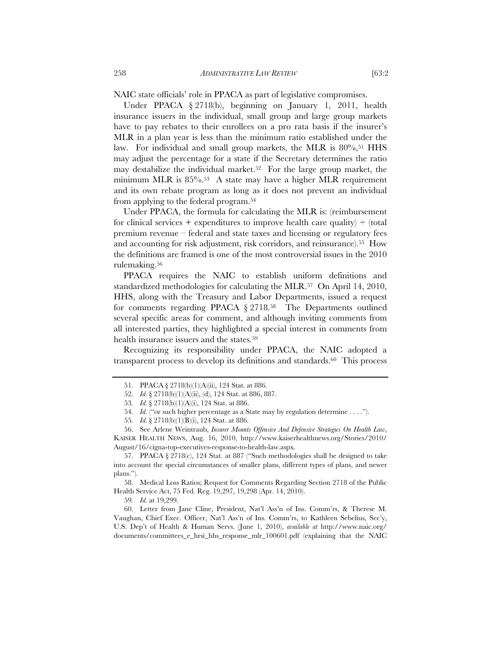NAIC state officials' role in PPACA as part of legislative compromises.

Under PPACA § 2718(b), beginning on January 1, 2011, health insurance issuers in the individual, small group and large group markets have to pay rebates to their enrollees on a pro rata basis if the insurer's MLR in a plan year is less than the minimum ratio established under the law. For individual and small group markets, the MLR is 80%,<sup>51</sup> HHS may adjust the percentage for a state if the Secretary determines the ratio may destabilize the individual market.<sup>52</sup> For the large group market, the minimum MLR is 85%.53 A state may have a higher MLR requirement and its own rebate program as long as it does not prevent an individual from applying to the federal program.54

Under PPACA, the formula for calculating the MLR is: (reimbursement for clinical services + expenditures to improve health care quality)  $\div$  (total premium revenue – federal and state taxes and licensing or regulatory fees and accounting for risk adjustment, risk corridors, and reinsurance).55 How the definitions are framed is one of the most controversial issues in the 2010 rulemaking.56

PPACA requires the NAIC to establish uniform definitions and standardized methodologies for calculating the MLR.57 On April 14, 2010, HHS, along with the Treasury and Labor Departments, issued a request for comments regarding PPACA § 2718.58 The Departments outlined several specific areas for comment, and although inviting comments from all interested parties, they highlighted a special interest in comments from health insurance issuers and the states.59

Recognizing its responsibility under PPACA, the NAIC adopted a transparent process to develop its definitions and standards.60 This process

58. Medical Loss Ratios; Request for Comments Regarding Section 2718 of the Public Health Service Act, 75 Fed. Reg. 19,297, 19,298 (Apr. 14, 2010).

59*. Id.* at 19,299.

60. Letter from Jane Cline, President, Nat'l Ass'n of Ins. Comm'rs, & Therese M. Vaughan, Chief Exec. Officer, Nat'l Ass'n of Ins. Comm'rs, to Kathleen Sebelius, Sec'y, U.S. Dep't of Health & Human Servs. (June 1, 2010), *available at* http://www.naic.org/ documents/committees\_e\_hrsi\_hhs\_response\_mlr\_100601.pdf (explaining that the NAIC

<sup>51.</sup> PPACA § 2718(b)(1)(A)(ii), 124 Stat. at 886.

<sup>52</sup>*. Id.* § 2718(b)(1)(A)(ii), (d), 124 Stat. at 886, 887.

<sup>53</sup>*. Id.* § 2718(b)(1)(A)(i), 124 Stat. at 886.

<sup>54</sup>*. Id.* ("or such higher percentage as a State may by regulation determine . . . .").

<sup>55</sup>*. Id.* § 2718(b)(1)(B)(i), 124 Stat. at 886.

<sup>56.</sup> See Arlene Weintraub, *Insurer Mounts Offensive And Defensive Strategies On Health Law*, KAISER HEALTH NEWS, Aug. 16, 2010, http://www.kaiserhealthnews.org/Stories/2010/ August/16/cigna-top-executives-response-to-health-law.aspx.

<sup>57.</sup> PPACA § 2718(c), 124 Stat. at 887 ("Such methodologies shall be designed to take into account the special circumstances of smaller plans, different types of plans, and newer plans.").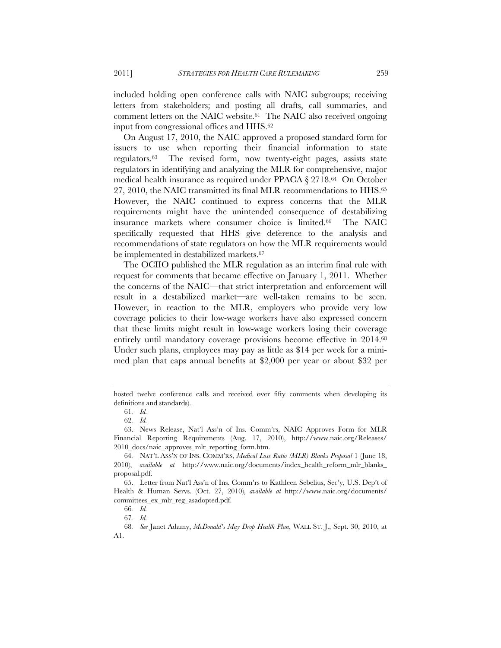included holding open conference calls with NAIC subgroups; receiving letters from stakeholders; and posting all drafts, call summaries, and comment letters on the NAIC website.<sup>61</sup> The NAIC also received ongoing input from congressional offices and HHS.62

On August 17, 2010, the NAIC approved a proposed standard form for issuers to use when reporting their financial information to state regulators.63 The revised form, now twenty-eight pages, assists state regulators in identifying and analyzing the MLR for comprehensive, major medical health insurance as required under PPACA § 2718.64 On October 27, 2010, the NAIC transmitted its final MLR recommendations to HHS.65 However, the NAIC continued to express concerns that the MLR requirements might have the unintended consequence of destabilizing insurance markets where consumer choice is limited.66 The NAIC specifically requested that HHS give deference to the analysis and recommendations of state regulators on how the MLR requirements would be implemented in destabilized markets.67

The OCIIO published the MLR regulation as an interim final rule with request for comments that became effective on January 1, 2011. Whether the concerns of the NAIC—that strict interpretation and enforcement will result in a destabilized market—are well-taken remains to be seen. However, in reaction to the MLR, employers who provide very low coverage policies to their low-wage workers have also expressed concern that these limits might result in low-wage workers losing their coverage entirely until mandatory coverage provisions become effective in 2014.68 Under such plans, employees may pay as little as \$14 per week for a minimed plan that caps annual benefits at \$2,000 per year or about \$32 per

hosted twelve conference calls and received over fifty comments when developing its definitions and standards).

<sup>61</sup>*. Id.*

<sup>62</sup>*. Id.*

<sup>63.</sup> News Release, Nat'l Ass'n of Ins. Comm'rs, NAIC Approves Form for MLR Financial Reporting Requirements (Aug. 17, 2010), http://www.naic.org/Releases/ 2010 docs/naic approves mlr reporting form.htm.

<sup>64</sup>*.* NAT'L ASS'N OF INS. COMM'RS, *Medical Loss Ratio (MLR) Blanks Proposal* 1 (June 18, 2010), *available at* http://www.naic.org/documents/index\_health\_reform\_mlr\_blanks\_ proposal.pdf.

<sup>65.</sup> Letter from Nat'l Ass'n of Ins. Comm'rs to Kathleen Sebelius, Sec'y, U.S. Dep't of Health & Human Servs. (Oct. 27, 2010), *available at* http://www.naic.org/documents/ committees\_ex\_mlr\_reg\_asadopted.pdf.

<sup>66</sup>*. Id.*

<sup>67</sup>*. Id.*

<sup>68</sup>*. See* Janet Adamy, *McDonald's May Drop Health Plan*, WALL ST. J., Sept. 30, 2010, at A1.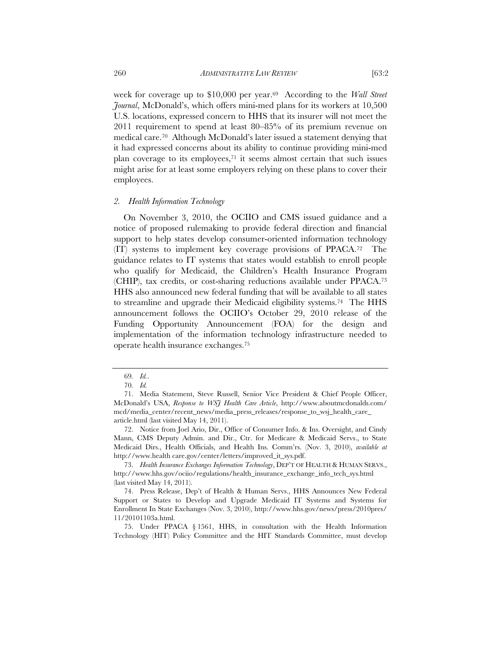week for coverage up to \$10,000 per year.69 According to the *Wall Street Journal*, McDonald's, which offers mini-med plans for its workers at 10,500 U.S. locations, expressed concern to HHS that its insurer will not meet the 2011 requirement to spend at least 80–85% of its premium revenue on medical care.70 Although McDonald's later issued a statement denying that it had expressed concerns about its ability to continue providing mini-med plan coverage to its employees, $71$  it seems almost certain that such issues might arise for at least some employers relying on these plans to cover their employees.

#### *2. Health Information Technology*

On November 3, 2010, the OCIIO and CMS issued guidance and a notice of proposed rulemaking to provide federal direction and financial support to help states develop consumer-oriented information technology (IT) systems to implement key coverage provisions of PPACA.72 The guidance relates to IT systems that states would establish to enroll people who qualify for Medicaid, the Children's Health Insurance Program (CHIP), tax credits, or cost-sharing reductions available under PPACA.73 HHS also announced new federal funding that will be available to all states to streamline and upgrade their Medicaid eligibility systems.74 The HHS announcement follows the OCIIO's October 29, 2010 release of the Funding Opportunity Announcement (FOA) for the design and implementation of the information technology infrastructure needed to operate health insurance exchanges.75

<sup>69</sup>*. Id.*.

<sup>70</sup>*. Id.*

<sup>71.</sup> Media Statement, Steve Russell, Senior Vice President & Chief People Officer, McDonald's USA, *Response to WSJ Health Care Article*, http://www.aboutmcdonalds.com/ mcd/media\_center/recent\_news/media\_press\_releases/response\_to\_wsj\_health\_care\_ article.html (last visited May 14, 2011).

<sup>72.</sup> Notice from Joel Ario, Dir., Office of Consumer Info. & Ins. Oversight, and Cindy Mann, CMS Deputy Admin. and Dir., Ctr. for Medicare & Medicaid Servs., to State Medicaid Dirs., Health Officials, and Health Ins. Comm'rs. (Nov. 3, 2010), *available at*  http://www.health care.gov/center/letters/improved\_it\_sys.pdf.

<sup>73.</sup> *Health Insurance Exchanges Information Technology*, DEP'T OF HEALTH & HUMAN SERVS., http://www.hhs.gov/ociio/regulations/health\_insurance\_exchange\_info\_tech\_sys.html (last visited May 14, 2011).

<sup>74.</sup> Press Release, Dep't of Health & Human Servs., HHS Announces New Federal Support or States to Develop and Upgrade Medicaid IT Systems and Systems for Enrollment In State Exchanges (Nov. 3, 2010), http://www.hhs.gov/news/press/2010pres/ 11/20101103a.html.

<sup>75.</sup> Under PPACA § 1561, HHS, in consultation with the Health Information Technology (HIT) Policy Committee and the HIT Standards Committee, must develop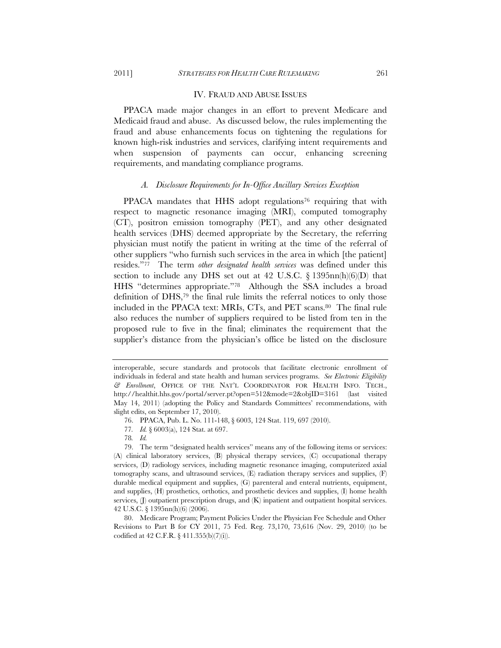#### IV. FRAUD AND ABUSE ISSUES

PPACA made major changes in an effort to prevent Medicare and Medicaid fraud and abuse. As discussed below, the rules implementing the fraud and abuse enhancements focus on tightening the regulations for known high-risk industries and services, clarifying intent requirements and when suspension of payments can occur, enhancing screening requirements, and mandating compliance programs.

#### *A. Disclosure Requirements for In-Office Ancillary Services Exception*

PPACA mandates that HHS adopt regulations<sup>76</sup> requiring that with respect to magnetic resonance imaging (MRI), computed tomography (CT), positron emission tomography (PET), and any other designated health services (DHS) deemed appropriate by the Secretary, the referring physician must notify the patient in writing at the time of the referral of other suppliers "who furnish such services in the area in which [the patient] resides."77 The term *other designated health services* was defined under this section to include any DHS set out at 42 U.S.C.  $\S$  1395nn(h)(6)(D) that HHS "determines appropriate."78 Although the SSA includes a broad definition of DHS,79 the final rule limits the referral notices to only those included in the PPACA text: MRIs, CTs, and PET scans.80 The final rule also reduces the number of suppliers required to be listed from ten in the proposed rule to five in the final; eliminates the requirement that the supplier's distance from the physician's office be listed on the disclosure

78*. Id.*

interoperable, secure standards and protocols that facilitate electronic enrollment of individuals in federal and state health and human services programs. *See Electronic Eligibility & Enrollment*, OFFICE OF THE NAT'L COORDINATOR FOR HEALTH INFO. TECH., http://healthit.hhs.gov/portal/server.pt?open=512&mode=2&objID=3161 (last visited May 14, 2011) (adopting the Policy and Standards Committees' recommendations, with slight edits, on September 17, 2010).

<sup>76.</sup> PPACA, Pub. L. No. 111-148, § 6003, 124 Stat. 119, 697 (2010).

<sup>77</sup>*. Id.* § 6003(a), 124 Stat. at 697.

<sup>79.</sup> The term "designated health services" means any of the following items or services: (A) clinical laboratory services, (B) physical therapy services, (C) occupational therapy services, (D) radiology services, including magnetic resonance imaging, computerized axial tomography scans, and ultrasound services, (E) radiation therapy services and supplies, (F) durable medical equipment and supplies, (G) parenteral and enteral nutrients, equipment, and supplies, (H) prosthetics, orthotics, and prosthetic devices and supplies, (I) home health services, (J) outpatient prescription drugs, and (K) inpatient and outpatient hospital services. 42 U.S.C. § 1395nn(h)(6) (2006).

<sup>80.</sup> Medicare Program; Payment Policies Under the Physician Fee Schedule and Other Revisions to Part B for CY 2011, 75 Fed. Reg. 73,170, 73,616 (Nov. 29, 2010) (to be codified at 42 C.F.R. § 411.355(b)(7)(i)).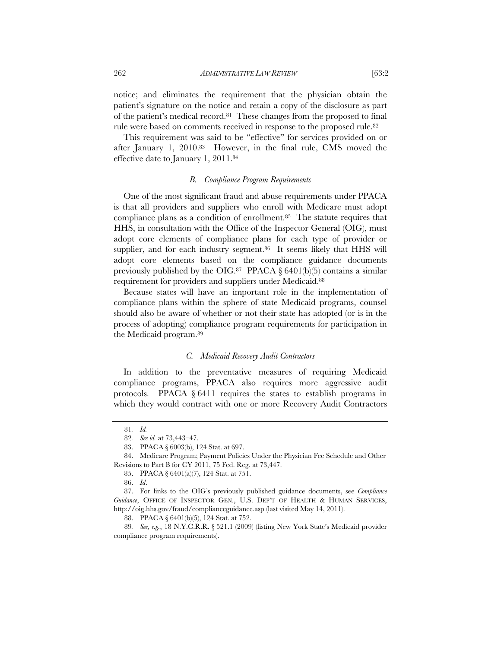262 *ADMINISTRATIVE LAW REVIEW* [63:2

notice; and eliminates the requirement that the physician obtain the patient's signature on the notice and retain a copy of the disclosure as part of the patient's medical record.81 These changes from the proposed to final rule were based on comments received in response to the proposed rule.<sup>82</sup>

This requirement was said to be "effective" for services provided on or after January 1, 2010.83 However, in the final rule, CMS moved the effective date to January 1, 2011.84

# *B. Compliance Program Requirements*

One of the most significant fraud and abuse requirements under PPACA is that all providers and suppliers who enroll with Medicare must adopt compliance plans as a condition of enrollment.85 The statute requires that HHS, in consultation with the Office of the Inspector General (OIG), must adopt core elements of compliance plans for each type of provider or supplier, and for each industry segment.<sup>86</sup> It seems likely that HHS will adopt core elements based on the compliance guidance documents previously published by the OIG.<sup>87</sup> PPACA  $\S$  6401(b)(5) contains a similar requirement for providers and suppliers under Medicaid.88

Because states will have an important role in the implementation of compliance plans within the sphere of state Medicaid programs, counsel should also be aware of whether or not their state has adopted (or is in the process of adopting) compliance program requirements for participation in the Medicaid program.89

# *C. Medicaid Recovery Audit Contractors*

In addition to the preventative measures of requiring Medicaid compliance programs, PPACA also requires more aggressive audit protocols. PPACA § 6411 requires the states to establish programs in which they would contract with one or more Recovery Audit Contractors

<sup>81</sup>*. Id.*

<sup>82</sup>*. See id.* at 73,443–47.

<sup>83.</sup> PPACA § 6003(b), 124 Stat. at 697.

<sup>84.</sup> Medicare Program; Payment Policies Under the Physician Fee Schedule and Other Revisions to Part B for CY 2011, 75 Fed. Reg. at 73,447.

<sup>85.</sup> PPACA § 6401(a)(7), 124 Stat. at 751.

<sup>86.</sup> *Id*.

<sup>87.</sup> For links to the OIG's previously published guidance documents, see *Compliance Guidance*, OFFICE OF INSPECTOR GEN., U.S. DEP'T OF HEALTH & HUMAN SERVICES, http://oig.hhs.gov/fraud/complianceguidance.asp (last visited May 14, 2011).

<sup>88.</sup> PPACA § 6401(b)(5), 124 Stat. at 752.

<sup>89</sup>*. See, e.g.*, 18 N.Y.C.R.R. § 521.1 (2009) (listing New York State's Medicaid provider compliance program requirements).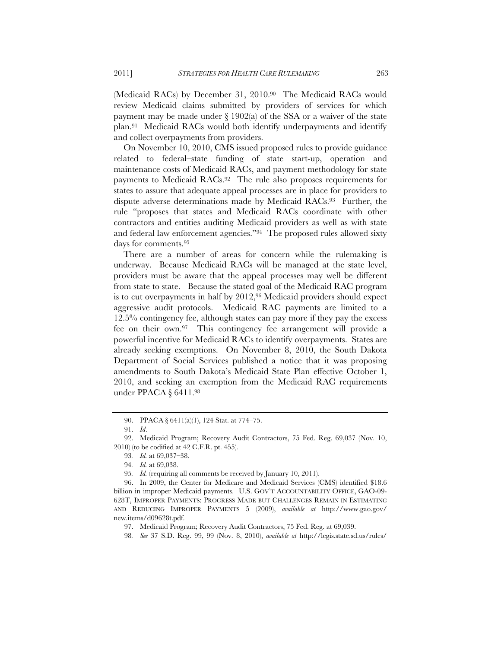(Medicaid RACs) by December 31, 2010.90 The Medicaid RACs would review Medicaid claims submitted by providers of services for which payment may be made under  $\S 1902(a)$  of the SSA or a waiver of the state plan.91 Medicaid RACs would both identify underpayments and identify and collect overpayments from providers.

On November 10, 2010, CMS issued proposed rules to provide guidance related to federal–state funding of state start-up, operation and maintenance costs of Medicaid RACs, and payment methodology for state payments to Medicaid RACs.92 The rule also proposes requirements for states to assure that adequate appeal processes are in place for providers to dispute adverse determinations made by Medicaid RACs.93 Further, the rule "proposes that states and Medicaid RACs coordinate with other contractors and entities auditing Medicaid providers as well as with state and federal law enforcement agencies."94 The proposed rules allowed sixty days for comments.95

There are a number of areas for concern while the rulemaking is underway. Because Medicaid RACs will be managed at the state level, providers must be aware that the appeal processes may well be different from state to state. Because the stated goal of the Medicaid RAC program is to cut overpayments in half by 2012,<sup>96</sup> Medicaid providers should expect aggressive audit protocols. Medicaid RAC payments are limited to a 12.5% contingency fee, although states can pay more if they pay the excess fee on their own.97 This contingency fee arrangement will provide a powerful incentive for Medicaid RACs to identify overpayments. States are already seeking exemptions. On November 8, 2010, the South Dakota Department of Social Services published a notice that it was proposing amendments to South Dakota's Medicaid State Plan effective October 1, 2010, and seeking an exemption from the Medicaid RAC requirements under PPACA § 6411.98

<sup>90.</sup> PPACA § 6411(a)(1), 124 Stat. at 774–75.

<sup>91.</sup> *Id*.

<sup>92.</sup> Medicaid Program; Recovery Audit Contractors, 75 Fed. Reg. 69,037 (Nov. 10, 2010) (to be codified at 42 C.F.R. pt. 455).

<sup>93</sup>*. Id.* at 69,037–38.

<sup>94</sup>*. Id.* at 69,038.

<sup>95</sup>*. Id.* (requiring all comments be received by January 10, 2011).

<sup>96.</sup> In 2009, the Center for Medicare and Medicaid Services (CMS) identified \$18.6 billion in improper Medicaid payments. U.S. GOV'T ACCOUNTABILITY OFFICE, GAO-09- 628T, IMPROPER PAYMENTS: PROGRESS MADE BUT CHALLENGES REMAIN IN ESTIMATING AND REDUCING IMPROPER PAYMENTS 5 (2009), *available at* http://www.gao.gov/ new.items/d09628t.pdf.

<sup>97.</sup> Medicaid Program; Recovery Audit Contractors, 75 Fed. Reg. at 69,039.

<sup>98</sup>*. See* 37 S.D. Reg. 99, 99 (Nov. 8, 2010), *available at* http://legis.state.sd.us/rules/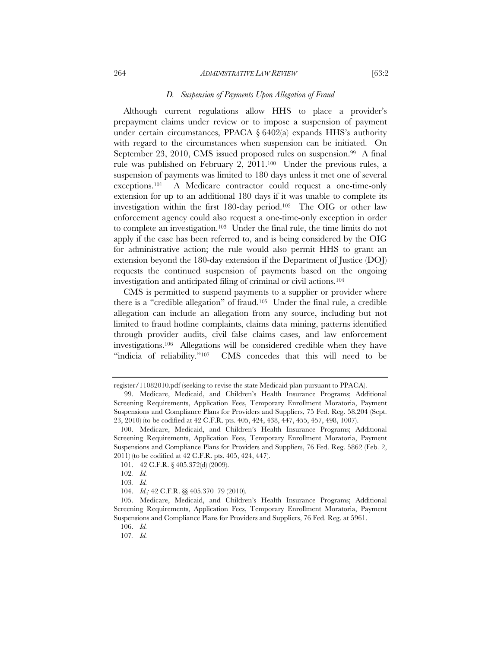#### 264 *ADMINISTRATIVE LAW REVIEW* [63:2

#### *D. Suspension of Payments Upon Allegation of Fraud*

Although current regulations allow HHS to place a provider's prepayment claims under review or to impose a suspension of payment under certain circumstances, PPACA  $\S 6402(a)$  expands HHS's authority with regard to the circumstances when suspension can be initiated. On September 23, 2010, CMS issued proposed rules on suspension.<sup>99</sup> A final rule was published on February 2, 2011.100 Under the previous rules, a suspension of payments was limited to 180 days unless it met one of several exceptions.101 A Medicare contractor could request a one-time-only extension for up to an additional 180 days if it was unable to complete its investigation within the first 180-day period.102 The OIG or other law enforcement agency could also request a one-time-only exception in order to complete an investigation.103 Under the final rule, the time limits do not apply if the case has been referred to, and is being considered by the OIG for administrative action; the rule would also permit HHS to grant an extension beyond the 180-day extension if the Department of Justice (DOJ) requests the continued suspension of payments based on the ongoing investigation and anticipated filing of criminal or civil actions.104

CMS is permitted to suspend payments to a supplier or provider where there is a "credible allegation" of fraud.105 Under the final rule, a credible allegation can include an allegation from any source, including but not limited to fraud hotline complaints, claims data mining, patterns identified through provider audits, civil false claims cases, and law enforcement investigations.106 Allegations will be considered credible when they have "indicia of reliability."<sup>107</sup> CMS concedes that this will need to be

register/11082010.pdf (seeking to revise the state Medicaid plan pursuant to PPACA).

<sup>99.</sup> Medicare, Medicaid, and Children's Health Insurance Programs; Additional Screening Requirements, Application Fees, Temporary Enrollment Moratoria, Payment Suspensions and Compliance Plans for Providers and Suppliers, 75 Fed. Reg. 58,204 (Sept. 23, 2010) (to be codified at 42 C.F.R. pts. 405, 424, 438, 447, 455, 457, 498, 1007).

 <sup>100.</sup> Medicare, Medicaid, and Children's Health Insurance Programs; Additional Screening Requirements, Application Fees, Temporary Enrollment Moratoria, Payment Suspensions and Compliance Plans for Providers and Suppliers, 76 Fed. Reg. 5862 (Feb. 2, 2011) (to be codified at 42 C.F.R. pts. 405, 424, 447).

<sup>101. 42</sup> C.F.R. § 405.372(d) (2009).

<sup>102</sup>*. Id.*

<sup>103</sup>*. Id.*

 <sup>104.</sup> *Id.;* 42 C.F.R. §§ 405.370–79 (2010).

<sup>105.</sup> Medicare, Medicaid, and Children's Health Insurance Programs; Additional Screening Requirements, Application Fees, Temporary Enrollment Moratoria, Payment Suspensions and Compliance Plans for Providers and Suppliers, 76 Fed. Reg. at 5961.

 <sup>106.</sup> *Id.* 

<sup>107</sup>*. Id.*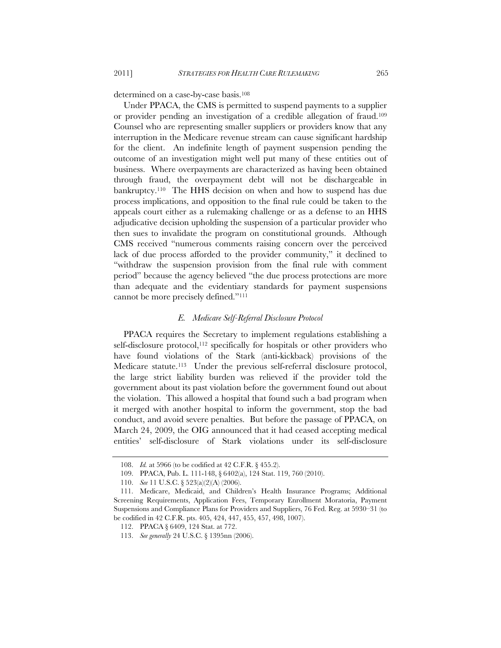determined on a case-by-case basis.108

Under PPACA, the CMS is permitted to suspend payments to a supplier or provider pending an investigation of a credible allegation of fraud.109 Counsel who are representing smaller suppliers or providers know that any interruption in the Medicare revenue stream can cause significant hardship for the client. An indefinite length of payment suspension pending the outcome of an investigation might well put many of these entities out of business. Where overpayments are characterized as having been obtained through fraud, the overpayment debt will not be dischargeable in bankruptcy.110 The HHS decision on when and how to suspend has due process implications, and opposition to the final rule could be taken to the appeals court either as a rulemaking challenge or as a defense to an HHS adjudicative decision upholding the suspension of a particular provider who then sues to invalidate the program on constitutional grounds. Although CMS received "numerous comments raising concern over the perceived lack of due process afforded to the provider community," it declined to "withdraw the suspension provision from the final rule with comment period" because the agency believed "the due process protections are more than adequate and the evidentiary standards for payment suspensions cannot be more precisely defined."111

## *E. Medicare Self-Referral Disclosure Protocol*

PPACA requires the Secretary to implement regulations establishing a self-disclosure protocol, $112$  specifically for hospitals or other providers who have found violations of the Stark (anti-kickback) provisions of the Medicare statute.<sup>113</sup> Under the previous self-referral disclosure protocol, the large strict liability burden was relieved if the provider told the government about its past violation before the government found out about the violation. This allowed a hospital that found such a bad program when it merged with another hospital to inform the government, stop the bad conduct, and avoid severe penalties. But before the passage of PPACA, on March 24, 2009, the OIG announced that it had ceased accepting medical entities' self-disclosure of Stark violations under its self-disclosure

 <sup>108.</sup> *Id.* at 5966 (to be codified at 42 C.F.R. § 455.2).

<sup>109.</sup> PPACA, Pub. L. 111-148, § 6402(a), 124 Stat. 119, 760 (2010).

 <sup>110.</sup> *See* 11 U.S.C. § 523(a)(2)(A) (2006).

<sup>111.</sup> Medicare, Medicaid, and Children's Health Insurance Programs; Additional Screening Requirements, Application Fees, Temporary Enrollment Moratoria, Payment Suspensions and Compliance Plans for Providers and Suppliers, 76 Fed. Reg. at 5930–31 (to be codified in 42 C.F.R. pts. 405, 424, 447, 455, 457, 498, 1007).

<sup>112.</sup> PPACA § 6409, 124 Stat. at 772.

 <sup>113.</sup> *See generally* 24 U.S.C. § 1395nn (2006).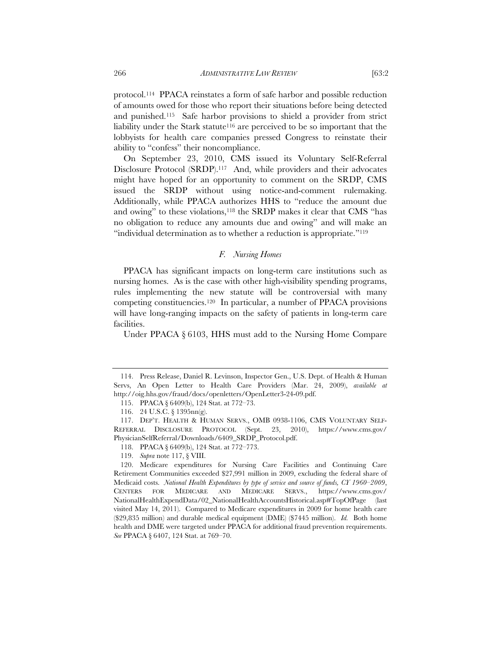protocol.114 PPACA reinstates a form of safe harbor and possible reduction of amounts owed for those who report their situations before being detected and punished.115 Safe harbor provisions to shield a provider from strict liability under the Stark statute<sup>116</sup> are perceived to be so important that the lobbyists for health care companies pressed Congress to reinstate their ability to "confess" their noncompliance.

On September 23, 2010, CMS issued its Voluntary Self-Referral Disclosure Protocol (SRDP).<sup>117</sup> And, while providers and their advocates might have hoped for an opportunity to comment on the SRDP, CMS issued the SRDP without using notice-and-comment rulemaking. Additionally, while PPACA authorizes HHS to "reduce the amount due and owing" to these violations,118 the SRDP makes it clear that CMS "has no obligation to reduce any amounts due and owing" and will make an "individual determination as to whether a reduction is appropriate."119

## *F. Nursing Homes*

PPACA has significant impacts on long-term care institutions such as nursing homes. As is the case with other high-visibility spending programs, rules implementing the new statute will be controversial with many competing constituencies.120 In particular, a number of PPACA provisions will have long-ranging impacts on the safety of patients in long-term care facilities.

Under PPACA § 6103, HHS must add to the Nursing Home Compare

 <sup>114.</sup> Press Release, Daniel R. Levinson, Inspector Gen., U.S. Dept. of Health & Human Servs, An Open Letter to Health Care Providers (Mar. 24, 2009), *available at*  http://oig.hhs.gov/fraud/docs/openletters/OpenLetter3-24-09.pdf.

<sup>115.</sup> PPACA § 6409(b), 124 Stat. at 772–73.

<sup>116. 24</sup> U.S.C. § 1395nn(g).

 <sup>117.</sup> DEP'T. HEALTH & HUMAN SERVS., OMB 0938-1106, CMS VOLUNTARY SELF-REFERRAL DISCLOSURE PROTOCOL (Sept. 23, 2010), https://www.cms.gov/ PhysicianSelfReferral/Downloads/6409\_SRDP\_Protocol.pdf.

<sup>118.</sup> PPACA § 6409(b), 124 Stat. at 772–773.

 <sup>119.</sup> *Supra* note 117, § VIII.

 <sup>120.</sup> Medicare expenditures for Nursing Care Facilities and Continuing Care Retirement Communities exceeded \$27,991 million in 2009, excluding the federal share of Medicaid costs. *National Health Expenditures by type of service and source of funds, CY 1960–2009*, CENTERS FOR MEDICARE AND MEDICARE SERVS., https://www.cms.gov/ NationalHealthExpendData/02\_NationalHealthAccountsHistorical.asp#TopOfPage (last visited May 14, 2011). Compared to Medicare expenditures in 2009 for home health care (\$29,835 million) and durable medical equipment (DME) (\$7445 million). *Id.* Both home health and DME were targeted under PPACA for additional fraud prevention requirements. *See* PPACA § 6407, 124 Stat. at 769–70.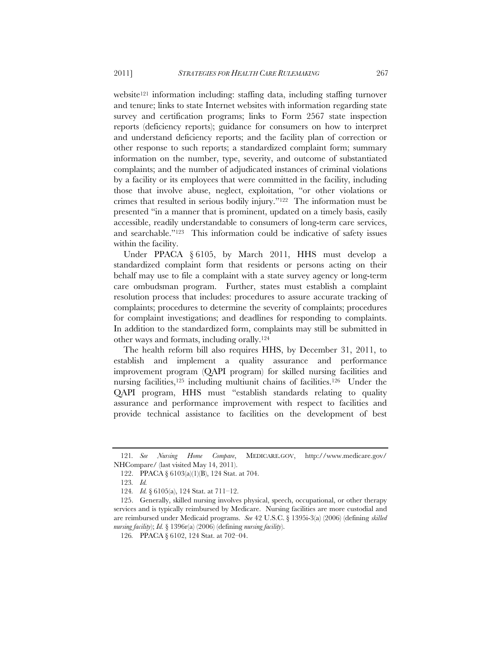website<sup>121</sup> information including: staffing data, including staffing turnover and tenure; links to state Internet websites with information regarding state survey and certification programs; links to Form 2567 state inspection reports (deficiency reports); guidance for consumers on how to interpret and understand deficiency reports; and the facility plan of correction or other response to such reports; a standardized complaint form; summary information on the number, type, severity, and outcome of substantiated complaints; and the number of adjudicated instances of criminal violations by a facility or its employees that were committed in the facility, including those that involve abuse, neglect, exploitation, "or other violations or crimes that resulted in serious bodily injury."122 The information must be presented "in a manner that is prominent, updated on a timely basis, easily accessible, readily understandable to consumers of long-term care services, and searchable."123 This information could be indicative of safety issues within the facility.

Under PPACA § 6105, by March 2011, HHS must develop a standardized complaint form that residents or persons acting on their behalf may use to file a complaint with a state survey agency or long-term care ombudsman program. Further, states must establish a complaint resolution process that includes: procedures to assure accurate tracking of complaints; procedures to determine the severity of complaints; procedures for complaint investigations; and deadlines for responding to complaints. In addition to the standardized form, complaints may still be submitted in other ways and formats, including orally.124

The health reform bill also requires HHS, by December 31, 2011, to establish and implement a quality assurance and performance improvement program (QAPI program) for skilled nursing facilities and nursing facilities,<sup>125</sup> including multiunit chains of facilities.<sup>126</sup> Under the QAPI program, HHS must "establish standards relating to quality assurance and performance improvement with respect to facilities and provide technical assistance to facilities on the development of best

<sup>121</sup>*. See Nursing Home Compare*, MEDICARE.GOV, http://www.medicare.gov/ NHCompare/ (last visited May 14, 2011).

<sup>122.</sup> PPACA § 6103(a)(1)(B), 124 Stat. at 704.

<sup>123</sup>*. Id.*

<sup>124</sup>*. Id.* § 6105(a), 124 Stat. at 711–12.

<sup>125.</sup> Generally, skilled nursing involves physical, speech, occupational, or other therapy services and is typically reimbursed by Medicare. Nursing facilities are more custodial and are reimbursed under Medicaid programs. *See* 42 U.S.C. § 1395i-3(a) (2006) (defining *skilled nursing facility*); *Id.* § 1396r(a) (2006) (defining *nursing facility*).

<sup>126</sup>*.* PPACA § 6102, 124 Stat. at 702–04.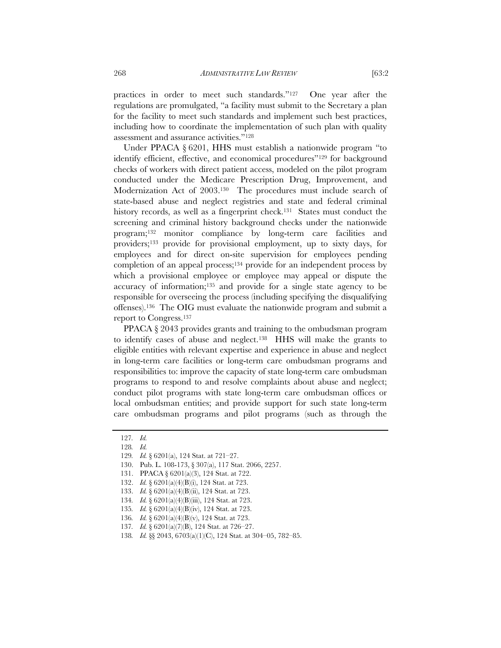practices in order to meet such standards."127 One year after the regulations are promulgated, "a facility must submit to the Secretary a plan for the facility to meet such standards and implement such best practices, including how to coordinate the implementation of such plan with quality assessment and assurance activities."128

Under PPACA § 6201, HHS must establish a nationwide program "to identify efficient, effective, and economical procedures"<sup>129</sup> for background checks of workers with direct patient access, modeled on the pilot program conducted under the Medicare Prescription Drug, Improvement, and Modernization Act of 2003.130 The procedures must include search of state-based abuse and neglect registries and state and federal criminal history records, as well as a fingerprint check.<sup>131</sup> States must conduct the screening and criminal history background checks under the nationwide program;132 monitor compliance by long-term care facilities and providers;133 provide for provisional employment, up to sixty days, for employees and for direct on-site supervision for employees pending completion of an appeal process; $134$  provide for an independent process by which a provisional employee or employee may appeal or dispute the accuracy of information;135 and provide for a single state agency to be responsible for overseeing the process (including specifying the disqualifying offenses).136 The OIG must evaluate the nationwide program and submit a report to Congress.137

PPACA  $\S$  2043 provides grants and training to the ombudsman program to identify cases of abuse and neglect.138 HHS will make the grants to eligible entities with relevant expertise and experience in abuse and neglect in long-term care facilities or long-term care ombudsman programs and responsibilities to: improve the capacity of state long-term care ombudsman programs to respond to and resolve complaints about abuse and neglect; conduct pilot programs with state long-term care ombudsman offices or local ombudsman entities; and provide support for such state long-term care ombudsman programs and pilot programs (such as through the

133. *Id.* § 6201(a)(4)(B)(ii), 124 Stat. at 723.

<sup>127</sup>*. Id.*

<sup>128</sup>*. Id.*

<sup>129</sup>*. Id.* § 6201(a), 124 Stat. at 721–27.

<sup>130.</sup> Pub. L. 108-173, § 307(a), 117 Stat. 2066, 2257.

<sup>131.</sup> PPACA § 6201(a)(3), 124 Stat. at 722.

 <sup>132.</sup> *Id.* § 6201(a)(4)(B)(i), 124 Stat. at 723.

<sup>134</sup>*. Id.* § 6201(a)(4)(B)(iii), 124 Stat. at 723.

<sup>135</sup>*. Id.* § 6201(a)(4)(B)(iv), 124 Stat. at 723.

<sup>136</sup>*. Id.* § 6201(a)(4)(B)(v), 124 Stat. at 723.

<sup>137</sup>*. Id.* § 6201(a)(7)(B), 124 Stat. at 726–27.

<sup>138</sup>*. Id.* §§ 2043, 6703(a)(1)(C), 124 Stat. at 304–05, 782–85.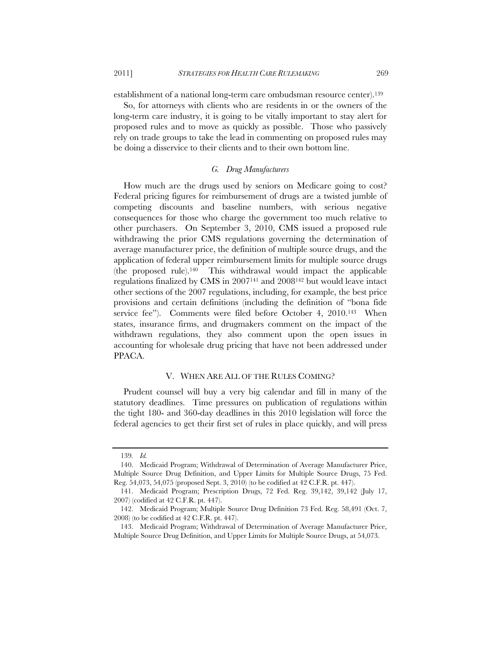establishment of a national long-term care ombudsman resource center).139

So, for attorneys with clients who are residents in or the owners of the long-term care industry, it is going to be vitally important to stay alert for proposed rules and to move as quickly as possible. Those who passively rely on trade groups to take the lead in commenting on proposed rules may be doing a disservice to their clients and to their own bottom line.

# *G. Drug Manufacturers*

How much are the drugs used by seniors on Medicare going to cost? Federal pricing figures for reimbursement of drugs are a twisted jumble of competing discounts and baseline numbers, with serious negative consequences for those who charge the government too much relative to other purchasers. On September 3, 2010, CMS issued a proposed rule withdrawing the prior CMS regulations governing the determination of average manufacturer price, the definition of multiple source drugs, and the application of federal upper reimbursement limits for multiple source drugs (the proposed rule).140 This withdrawal would impact the applicable regulations finalized by CMS in 2007141 and 2008142 but would leave intact other sections of the 2007 regulations, including, for example, the best price provisions and certain definitions (including the definition of "bona fide service fee"). Comments were filed before October 4, 2010.<sup>143</sup> When states, insurance firms, and drugmakers comment on the impact of the withdrawn regulations, they also comment upon the open issues in accounting for wholesale drug pricing that have not been addressed under PPACA.

## V. WHEN ARE ALL OF THE RULES COMING?

Prudent counsel will buy a very big calendar and fill in many of the statutory deadlines. Time pressures on publication of regulations within the tight 180- and 360-day deadlines in this 2010 legislation will force the federal agencies to get their first set of rules in place quickly, and will press

<sup>139</sup>*. Id.*

<sup>140.</sup> Medicaid Program; Withdrawal of Determination of Average Manufacturer Price, Multiple Source Drug Definition, and Upper Limits for Multiple Source Drugs, 75 Fed. Reg. 54,073, 54,075 (proposed Sept. 3, 2010) (to be codified at 42 C.F.R. pt. 447).

<sup>141.</sup> Medicaid Program; Prescription Drugs, 72 Fed. Reg. 39,142, 39,142 (July 17, 2007) (codified at 42 C.F.R. pt. 447).

 <sup>142.</sup> Medicaid Program; Multiple Source Drug Definition 73 Fed. Reg. 58,491 (Oct. 7, 2008) (to be codified at 42 C.F.R. pt. 447).

 <sup>143.</sup> Medicaid Program; Withdrawal of Determination of Average Manufacturer Price, Multiple Source Drug Definition, and Upper Limits for Multiple Source Drugs, at 54,073.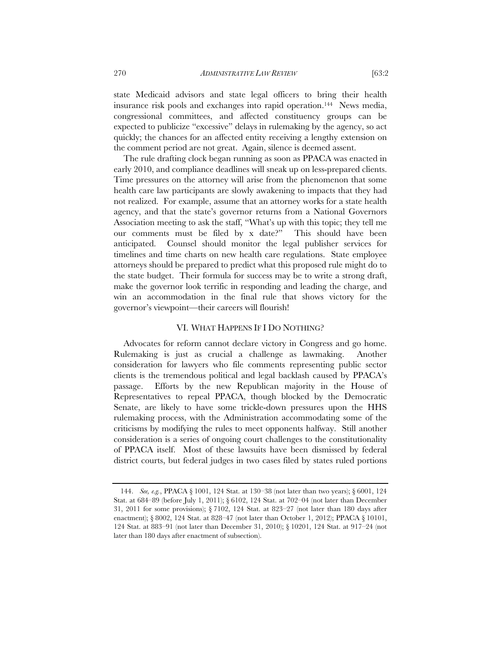state Medicaid advisors and state legal officers to bring their health insurance risk pools and exchanges into rapid operation.144 News media, congressional committees, and affected constituency groups can be expected to publicize "excessive" delays in rulemaking by the agency, so act quickly; the chances for an affected entity receiving a lengthy extension on the comment period are not great. Again, silence is deemed assent.

The rule drafting clock began running as soon as PPACA was enacted in early 2010, and compliance deadlines will sneak up on less-prepared clients. Time pressures on the attorney will arise from the phenomenon that some health care law participants are slowly awakening to impacts that they had not realized. For example, assume that an attorney works for a state health agency, and that the state's governor returns from a National Governors Association meeting to ask the staff, "What's up with this topic; they tell me our comments must be filed by x date?" This should have been anticipated. Counsel should monitor the legal publisher services for timelines and time charts on new health care regulations. State employee attorneys should be prepared to predict what this proposed rule might do to the state budget. Their formula for success may be to write a strong draft, make the governor look terrific in responding and leading the charge, and win an accommodation in the final rule that shows victory for the governor's viewpoint—their careers will flourish!

## VI. WHAT HAPPENS IF I DO NOTHING?

Advocates for reform cannot declare victory in Congress and go home. Rulemaking is just as crucial a challenge as lawmaking. Another consideration for lawyers who file comments representing public sector clients is the tremendous political and legal backlash caused by PPACA's passage. Efforts by the new Republican majority in the House of Representatives to repeal PPACA, though blocked by the Democratic Senate, are likely to have some trickle-down pressures upon the HHS rulemaking process, with the Administration accommodating some of the criticisms by modifying the rules to meet opponents halfway. Still another consideration is a series of ongoing court challenges to the constitutionality of PPACA itself. Most of these lawsuits have been dismissed by federal district courts, but federal judges in two cases filed by states ruled portions

 <sup>144.</sup> *See, e.g.*, PPACA § 1001, 124 Stat. at 130–38 (not later than two years); § 6001, 124 Stat. at 684–89 (before July 1, 2011); § 6102, 124 Stat. at 702–04 (not later than December 31, 2011 for some provisions); § 7102, 124 Stat. at 823–27 (not later than 180 days after enactment); § 8002, 124 Stat. at 828–47 (not later than October 1, 2012); PPACA § 10101, 124 Stat. at 883–91 (not later than December 31, 2010); § 10201, 124 Stat. at 917–24 (not later than 180 days after enactment of subsection).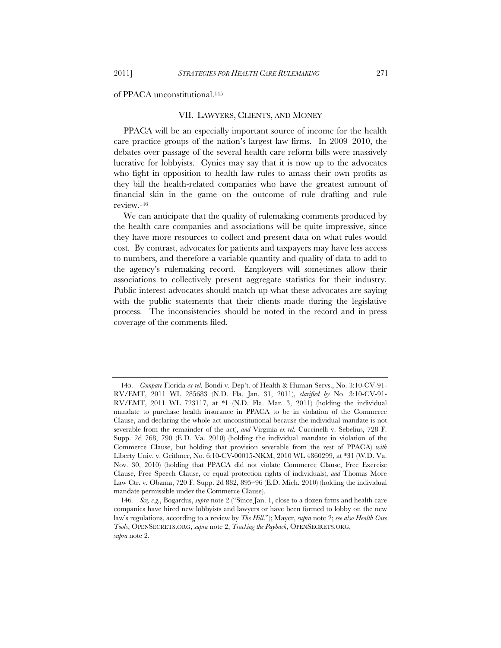of PPACA unconstitutional.145

#### VII. LAWYERS, CLIENTS, AND MONEY

PPACA will be an especially important source of income for the health care practice groups of the nation's largest law firms. In 2009–2010, the debates over passage of the several health care reform bills were massively lucrative for lobbyists. Cynics may say that it is now up to the advocates who fight in opposition to health law rules to amass their own profits as they bill the health-related companies who have the greatest amount of financial skin in the game on the outcome of rule drafting and rule review.146

We can anticipate that the quality of rulemaking comments produced by the health care companies and associations will be quite impressive, since they have more resources to collect and present data on what rules would cost. By contrast, advocates for patients and taxpayers may have less access to numbers, and therefore a variable quantity and quality of data to add to the agency's rulemaking record. Employers will sometimes allow their associations to collectively present aggregate statistics for their industry. Public interest advocates should match up what these advocates are saying with the public statements that their clients made during the legislative process. The inconsistencies should be noted in the record and in press coverage of the comments filed.

<sup>145</sup>*. Compare* Florida *ex rel.* Bondi v. Dep't. of Health & Human Servs., No. 3:10-CV-91- RV/EMT, 2011 WL 285683 (N.D. Fla. Jan. 31, 2011), *clarified by* No. 3:10-CV-91- RV/EMT, 2011 WL 723117, at \*1 (N.D. Fla. Mar. 3, 2011) (holding the individual mandate to purchase health insurance in PPACA to be in violation of the Commerce Clause, and declaring the whole act unconstitutional because the individual mandate is not severable from the remainder of the act), *and* Virginia *ex rel.* Cuccinelli v. Sebelius, 728 F. Supp. 2d 768, 790 (E.D. Va. 2010) (holding the individual mandate in violation of the Commerce Clause, but holding that provision severable from the rest of PPACA) *with* Liberty Univ. v. Geithner, No. 6:10-CV-00015-NKM, 2010 WL 4860299, at \*31 (W.D. Va. Nov. 30, 2010) (holding that PPACA did not violate Commerce Clause, Free Exercise Clause, Free Speech Clause, or equal protection rights of individuals), *and* Thomas More Law Ctr. v. Obama, 720 F. Supp. 2d 882, 895–96 (E.D. Mich. 2010) (holding the individual mandate permissible under the Commerce Clause).

<sup>146</sup>*. See, e.g.*, Bogardus, *supra* note 2 ("Since Jan. 1, close to a dozen firms and health care companies have hired new lobbyists and lawyers or have been formed to lobby on the new law's regulations, according to a review by *The Hill*."); Mayer, *supra* note 2; *see also Health Care Tools*, OPENSECRETS.ORG, *supra* note 2; *Tracking the Payback*, OPENSECRETS.ORG, *supra* note 2.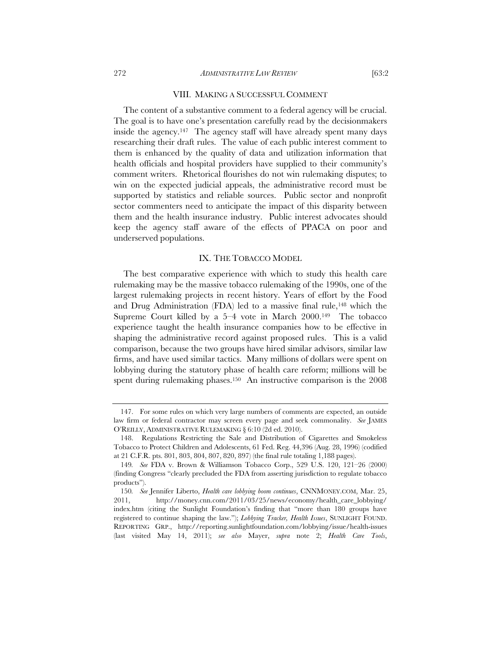#### VIII. MAKING A SUCCESSFUL COMMENT

The content of a substantive comment to a federal agency will be crucial. The goal is to have one's presentation carefully read by the decisionmakers inside the agency.<sup>147</sup> The agency staff will have already spent many days researching their draft rules. The value of each public interest comment to them is enhanced by the quality of data and utilization information that health officials and hospital providers have supplied to their community's comment writers. Rhetorical flourishes do not win rulemaking disputes; to win on the expected judicial appeals, the administrative record must be supported by statistics and reliable sources. Public sector and nonprofit sector commenters need to anticipate the impact of this disparity between them and the health insurance industry. Public interest advocates should keep the agency staff aware of the effects of PPACA on poor and underserved populations.

## IX. THE TOBACCO MODEL

The best comparative experience with which to study this health care rulemaking may be the massive tobacco rulemaking of the 1990s, one of the largest rulemaking projects in recent history. Years of effort by the Food and Drug Administration (FDA) led to a massive final rule,<sup>148</sup> which the Supreme Court killed by a  $5-4$  vote in March  $2000^{149}$  The tobacco experience taught the health insurance companies how to be effective in shaping the administrative record against proposed rules. This is a valid comparison, because the two groups have hired similar advisors, similar law firms, and have used similar tactics. Many millions of dollars were spent on lobbying during the statutory phase of health care reform; millions will be spent during rulemaking phases.<sup>150</sup> An instructive comparison is the 2008

 <sup>147.</sup> For some rules on which very large numbers of comments are expected, an outside law firm or federal contractor may screen every page and seek commonality. *See* JAMES O'REILLY, ADMINISTRATIVE RULEMAKING § 6:10 (2d ed. 2010).

 <sup>148.</sup> Regulations Restricting the Sale and Distribution of Cigarettes and Smokeless Tobacco to Protect Children and Adolescents, 61 Fed. Reg. 44,396 (Aug. 28, 1996) (codified at 21 C.F.R. pts. 801, 803, 804, 807, 820, 897) (the final rule totaling 1,188 pages).

<sup>149</sup>*. See* FDA v. Brown & Williamson Tobacco Corp., 529 U.S. 120, 121–26 (2000) (finding Congress "clearly precluded the FDA from asserting jurisdiction to regulate tobacco products").

<sup>150</sup>*. See* Jennifer Liberto, *Health care lobbying boom continues*, CNNMONEY.COM, Mar. 25, 2011, http://money.cnn.com/2011/03/25/news/economy/health\_care\_lobbying/ index.htm (citing the Sunlight Foundation's finding that "more than 180 groups have registered to continue shaping the law."); *Lobbying Tracker, Health Issues*, SUNLIGHT FOUND. REPORTING GRP., http://reporting.sunlightfoundation.com/lobbying/issue/health-issues (last visited May 14, 2011); *see also* Mayer, *supra* note 2; *Health Care Tools*,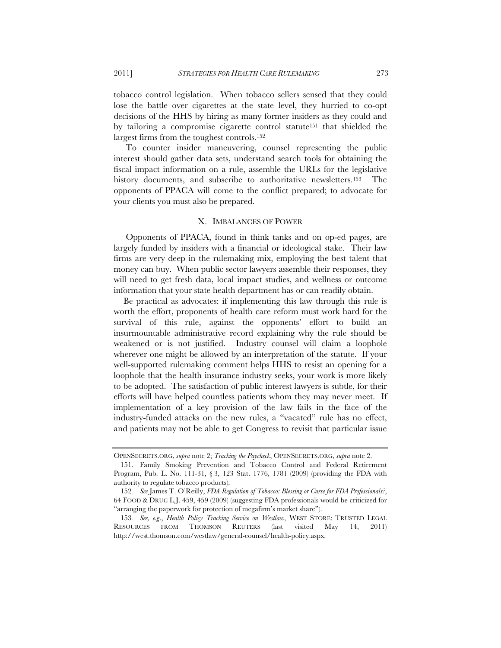tobacco control legislation. When tobacco sellers sensed that they could lose the battle over cigarettes at the state level, they hurried to co-opt decisions of the HHS by hiring as many former insiders as they could and by tailoring a compromise cigarette control statute151 that shielded the largest firms from the toughest controls.152

 To counter insider maneuvering, counsel representing the public interest should gather data sets, understand search tools for obtaining the fiscal impact information on a rule, assemble the URLs for the legislative history documents, and subscribe to authoritative newsletters.<sup>153</sup> The opponents of PPACA will come to the conflict prepared; to advocate for your clients you must also be prepared.

## X. IMBALANCES OF POWER

 Opponents of PPACA, found in think tanks and on op-ed pages, are largely funded by insiders with a financial or ideological stake. Their law firms are very deep in the rulemaking mix, employing the best talent that money can buy. When public sector lawyers assemble their responses, they will need to get fresh data, local impact studies, and wellness or outcome information that your state health department has or can readily obtain.

Be practical as advocates: if implementing this law through this rule is worth the effort, proponents of health care reform must work hard for the survival of this rule, against the opponents' effort to build an insurmountable administrative record explaining why the rule should be weakened or is not justified. Industry counsel will claim a loophole wherever one might be allowed by an interpretation of the statute. If your well-supported rulemaking comment helps HHS to resist an opening for a loophole that the health insurance industry seeks, your work is more likely to be adopted. The satisfaction of public interest lawyers is subtle, for their efforts will have helped countless patients whom they may never meet. If implementation of a key provision of the law fails in the face of the industry-funded attacks on the new rules, a "vacated" rule has no effect, and patients may not be able to get Congress to revisit that particular issue

OPENSECRETS.ORG, *supra* note 2; *Tracking the Paycheck*, OPENSECRETS.ORG, *supra* note 2.

 <sup>151.</sup> Family Smoking Prevention and Tobacco Control and Federal Retirement Program, Pub. L. No. 111-31, § 3, 123 Stat. 1776, 1781 (2009) (providing the FDA with authority to regulate tobacco products).

<sup>152</sup>*. See* James T. O'Reilly, *FDA Regulation of Tobacco: Blessing or Curse for FDA Professionals?*, 64 FOOD & DRUG L.J. 459, 459 (2009) (suggesting FDA professionals would be criticized for "arranging the paperwork for protection of megafirm's market share").

<sup>153</sup>*. See, e.g*., *Health Policy Tracking Service on Westlaw*, WEST STORE: TRUSTED LEGAL RESOURCES FROM THOMSON REUTERS (last visited May 14, 2011) http://west.thomson.com/westlaw/general-counsel/health-policy.aspx.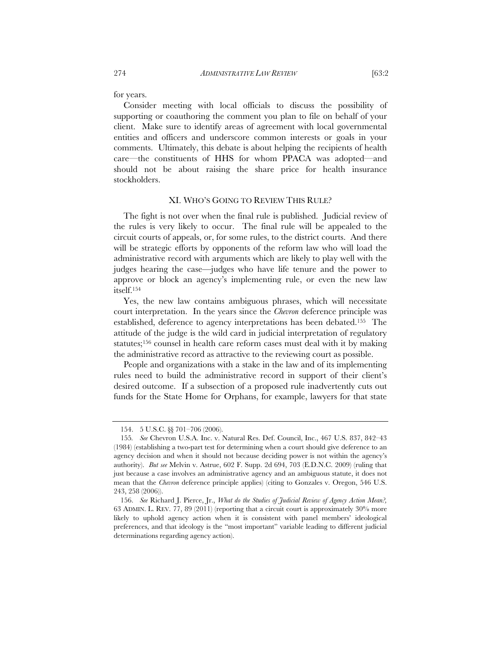for years.

Consider meeting with local officials to discuss the possibility of supporting or coauthoring the comment you plan to file on behalf of your client. Make sure to identify areas of agreement with local governmental entities and officers and underscore common interests or goals in your comments. Ultimately, this debate is about helping the recipients of health care—the constituents of HHS for whom PPACA was adopted—and should not be about raising the share price for health insurance stockholders.

#### XI. WHO'S GOING TO REVIEW THIS RULE?

The fight is not over when the final rule is published. Judicial review of the rules is very likely to occur. The final rule will be appealed to the circuit courts of appeals, or, for some rules, to the district courts. And there will be strategic efforts by opponents of the reform law who will load the administrative record with arguments which are likely to play well with the judges hearing the case—judges who have life tenure and the power to approve or block an agency's implementing rule, or even the new law itself.154

Yes, the new law contains ambiguous phrases, which will necessitate court interpretation. In the years since the *Chevron* deference principle was established, deference to agency interpretations has been debated.155 The attitude of the judge is the wild card in judicial interpretation of regulatory statutes;156 counsel in health care reform cases must deal with it by making the administrative record as attractive to the reviewing court as possible.

People and organizations with a stake in the law and of its implementing rules need to build the administrative record in support of their client's desired outcome. If a subsection of a proposed rule inadvertently cuts out funds for the State Home for Orphans, for example, lawyers for that state

<sup>154. 5</sup> U.S.C. §§ 701–706 (2006).

<sup>155</sup>*. See* Chevron U.S.A. Inc. v. Natural Res. Def. Council, Inc., 467 U.S. 837, 842–43 (1984) (establishing a two-part test for determining when a court should give deference to an agency decision and when it should not because deciding power is not within the agency's authority). *But see* Melvin v. Astrue, 602 F. Supp. 2d 694, 703 (E.D.N.C. 2009) (ruling that just because a case involves an administrative agency and an ambiguous statute, it does not mean that the *Chevron* deference principle applies) (citing to Gonzales v. Oregon, 546 U.S. 243, 258 (2006)).

 <sup>156.</sup> *See* Richard J. Pierce, Jr., *What do the Studies of Judicial Review of Agency Action Mean?,* 63 ADMIN. L. REV. 77, 89 (2011) (reporting that a circuit court is approximately 30% more likely to uphold agency action when it is consistent with panel members' ideological preferences, and that ideology is the "most important" variable leading to different judicial determinations regarding agency action).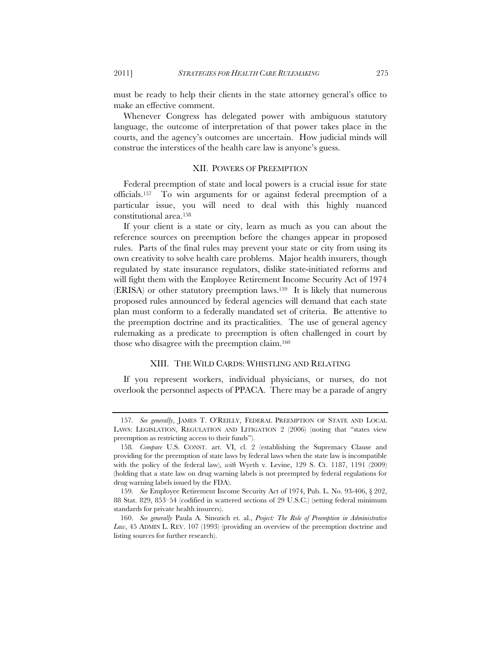must be ready to help their clients in the state attorney general's office to make an effective comment.

Whenever Congress has delegated power with ambiguous statutory language, the outcome of interpretation of that power takes place in the courts, and the agency's outcomes are uncertain. How judicial minds will construe the interstices of the health care law is anyone's guess.

## XII. POWERS OF PREEMPTION

Federal preemption of state and local powers is a crucial issue for state officials.157 To win arguments for or against federal preemption of a particular issue, you will need to deal with this highly nuanced constitutional area.158

If your client is a state or city, learn as much as you can about the reference sources on preemption before the changes appear in proposed rules. Parts of the final rules may prevent your state or city from using its own creativity to solve health care problems. Major health insurers, though regulated by state insurance regulators, dislike state-initiated reforms and will fight them with the Employee Retirement Income Security Act of 1974 (ERISA) or other statutory preemption laws.159 It is likely that numerous proposed rules announced by federal agencies will demand that each state plan must conform to a federally mandated set of criteria. Be attentive to the preemption doctrine and its practicalities. The use of general agency rulemaking as a predicate to preemption is often challenged in court by those who disagree with the preemption claim.160

# XIII. THE WILD CARDS: WHISTLING AND RELATING

If you represent workers, individual physicians, or nurses, do not overlook the personnel aspects of PPACA. There may be a parade of angry

<sup>157</sup>*. See generally*, JAMES T. O'REILLY, FEDERAL PREEMPTION OF STATE AND LOCAL LAWS: LEGISLATION, REGULATION AND LITIGATION 2 (2006) (noting that "states view preemption as restricting access to their funds").

<sup>158</sup>*. Compare* U.S. CONST. art. VI, cl. 2 (establishing the Supremacy Clause and providing for the preemption of state laws by federal laws when the state law is incompatible with the policy of the federal law), *with* Wyeth v*.* Levine, 129 S. Ct. 1187, 1191 (2009) (holding that a state law on drug warning labels is not preempted by federal regulations for drug warning labels issued by the FDA).

<sup>159</sup>*. See* Employee Retirement Income Security Act of 1974, Pub. L. No. 93-406, § 202, 88 Stat. 829, 853–54 (codified in scattered sections of 29 U.S.C.) (setting federal minimum standards for private health insurers).

 <sup>160.</sup> *See generally* Paula A. Sinozich et. al., *Project: The Role of Preemption in Administrative Law*, 45 ADMIN L. REV. 107 (1993) (providing an overview of the preemption doctrine and listing sources for further research).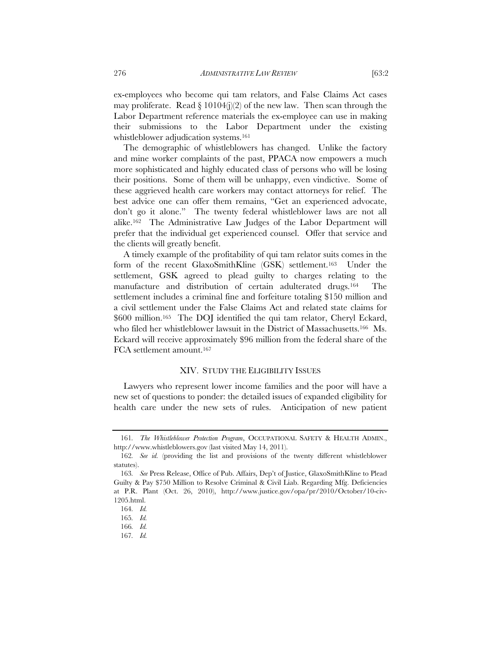ex-employees who become qui tam relators, and False Claims Act cases may proliferate. Read  $\S 10104(j)(2)$  of the new law. Then scan through the Labor Department reference materials the ex-employee can use in making their submissions to the Labor Department under the existing whistleblower adjudication systems.<sup>161</sup>

The demographic of whistleblowers has changed. Unlike the factory and mine worker complaints of the past, PPACA now empowers a much more sophisticated and highly educated class of persons who will be losing their positions. Some of them will be unhappy, even vindictive. Some of these aggrieved health care workers may contact attorneys for relief. The best advice one can offer them remains, "Get an experienced advocate, don't go it alone." The twenty federal whistleblower laws are not all alike.162 The Administrative Law Judges of the Labor Department will prefer that the individual get experienced counsel. Offer that service and the clients will greatly benefit.

A timely example of the profitability of qui tam relator suits comes in the form of the recent GlaxoSmithKline (GSK) settlement.163 Under the settlement, GSK agreed to plead guilty to charges relating to the manufacture and distribution of certain adulterated drugs.164 The settlement includes a criminal fine and forfeiture totaling \$150 million and a civil settlement under the False Claims Act and related state claims for \$600 million.<sup>165</sup> The DOJ identified the qui tam relator, Cheryl Eckard, who filed her whistleblower lawsuit in the District of Massachusetts.166 Ms. Eckard will receive approximately \$96 million from the federal share of the FCA settlement amount.167

# XIV. STUDY THE ELIGIBILITY ISSUES

Lawyers who represent lower income families and the poor will have a new set of questions to ponder: the detailed issues of expanded eligibility for health care under the new sets of rules. Anticipation of new patient

<sup>161</sup>*. The Whistleblower Protection Program*, OCCUPATIONAL SAFETY & HEALTH ADMIN., http://www.whistleblowers.gov (last visited May 14, 2011).

<sup>162</sup>*. See id.* (providing the list and provisions of the twenty different whistleblower statutes).

<sup>163</sup>*. See* Press Release, Office of Pub. Affairs, Dep't of Justice, GlaxoSmithKline to Plead Guilty & Pay \$750 Million to Resolve Criminal & Civil Liab. Regarding Mfg. Deficiencies at P.R. Plant (Oct. 26, 2010), http://www.justice.gov/opa/pr/2010/October/10-civ-1205.html.

<sup>164</sup>*. Id.*

<sup>165</sup>*. Id.*

<sup>166</sup>*. Id.*

<sup>167</sup>*. Id.*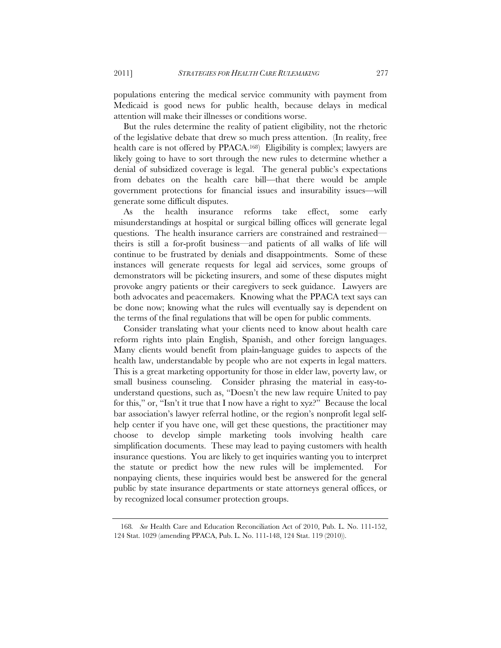populations entering the medical service community with payment from Medicaid is good news for public health, because delays in medical attention will make their illnesses or conditions worse.

But the rules determine the reality of patient eligibility, not the rhetoric of the legislative debate that drew so much press attention. (In reality, free health care is not offered by PPACA.<sup>168</sup>) Eligibility is complex; lawyers are likely going to have to sort through the new rules to determine whether a denial of subsidized coverage is legal. The general public's expectations from debates on the health care bill—that there would be ample government protections for financial issues and insurability issues—will generate some difficult disputes.

As the health insurance reforms take effect, some early misunderstandings at hospital or surgical billing offices will generate legal questions. The health insurance carriers are constrained and restrained theirs is still a for-profit business—and patients of all walks of life will continue to be frustrated by denials and disappointments. Some of these instances will generate requests for legal aid services, some groups of demonstrators will be picketing insurers, and some of these disputes might provoke angry patients or their caregivers to seek guidance. Lawyers are both advocates and peacemakers. Knowing what the PPACA text says can be done now; knowing what the rules will eventually say is dependent on the terms of the final regulations that will be open for public comments.

Consider translating what your clients need to know about health care reform rights into plain English, Spanish, and other foreign languages. Many clients would benefit from plain-language guides to aspects of the health law, understandable by people who are not experts in legal matters. This is a great marketing opportunity for those in elder law, poverty law, or small business counseling. Consider phrasing the material in easy-tounderstand questions, such as, "Doesn't the new law require United to pay for this," or, "Isn't it true that I now have a right to xyz?" Because the local bar association's lawyer referral hotline, or the region's nonprofit legal selfhelp center if you have one, will get these questions, the practitioner may choose to develop simple marketing tools involving health care simplification documents. These may lead to paying customers with health insurance questions. You are likely to get inquiries wanting you to interpret the statute or predict how the new rules will be implemented. For nonpaying clients, these inquiries would best be answered for the general public by state insurance departments or state attorneys general offices, or by recognized local consumer protection groups.

<sup>168</sup>*. See* Health Care and Education Reconciliation Act of 2010, Pub. L. No. 111-152, 124 Stat. 1029 (amending PPACA, Pub. L. No. 111-148, 124 Stat. 119 (2010)).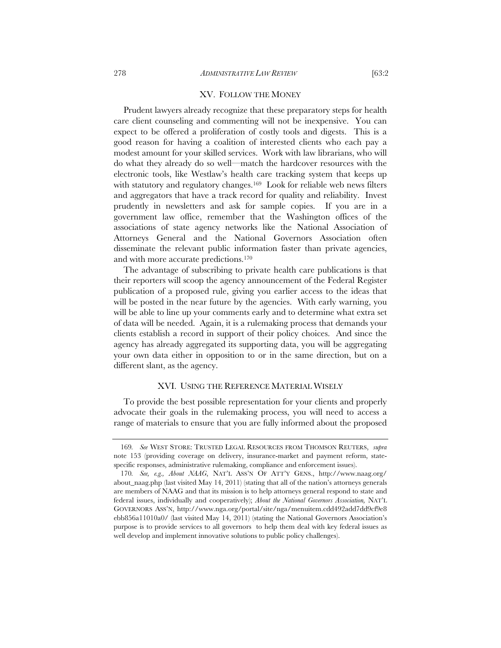## XV. FOLLOW THE MONEY

Prudent lawyers already recognize that these preparatory steps for health care client counseling and commenting will not be inexpensive. You can expect to be offered a proliferation of costly tools and digests. This is a good reason for having a coalition of interested clients who each pay a modest amount for your skilled services. Work with law librarians, who will do what they already do so well—match the hardcover resources with the electronic tools, like Westlaw's health care tracking system that keeps up with statutory and regulatory changes.<sup>169</sup> Look for reliable web news filters and aggregators that have a track record for quality and reliability. Invest prudently in newsletters and ask for sample copies. If you are in a government law office, remember that the Washington offices of the associations of state agency networks like the National Association of Attorneys General and the National Governors Association often disseminate the relevant public information faster than private agencies, and with more accurate predictions.170

The advantage of subscribing to private health care publications is that their reporters will scoop the agency announcement of the Federal Register publication of a proposed rule, giving you earlier access to the ideas that will be posted in the near future by the agencies. With early warning, you will be able to line up your comments early and to determine what extra set of data will be needed. Again, it is a rulemaking process that demands your clients establish a record in support of their policy choices. And since the agency has already aggregated its supporting data, you will be aggregating your own data either in opposition to or in the same direction, but on a different slant, as the agency.

# XVI. USING THE REFERENCE MATERIAL WISELY

To provide the best possible representation for your clients and properly advocate their goals in the rulemaking process, you will need to access a range of materials to ensure that you are fully informed about the proposed

<sup>169</sup>*. See* WEST STORE: TRUSTED LEGAL RESOURCES FROM THOMSON REUTERS, *supra* note 153 (providing coverage on delivery, insurance-market and payment reform, statespecific responses, administrative rulemaking, compliance and enforcement issues).

<sup>170</sup>*. See, e.g., About NAAG*, NAT'L ASS'N OF ATT'Y GENS., http://www.naag.org/ about\_naag.php (last visited May 14, 2011) (stating that all of the nation's attorneys generals are members of NAAG and that its mission is to help attorneys general respond to state and federal issues, individually and cooperatively); *About the National Governors Association,* NAT'L GOVERNORS ASS'N, http://www.nga.org/portal/site/nga/menuitem.cdd492add7dd9cf9e8 ebb856a11010a0/ (last visited May 14, 2011) (stating the National Governors Association's purpose is to provide services to all governors to help them deal with key federal issues as well develop and implement innovative solutions to public policy challenges).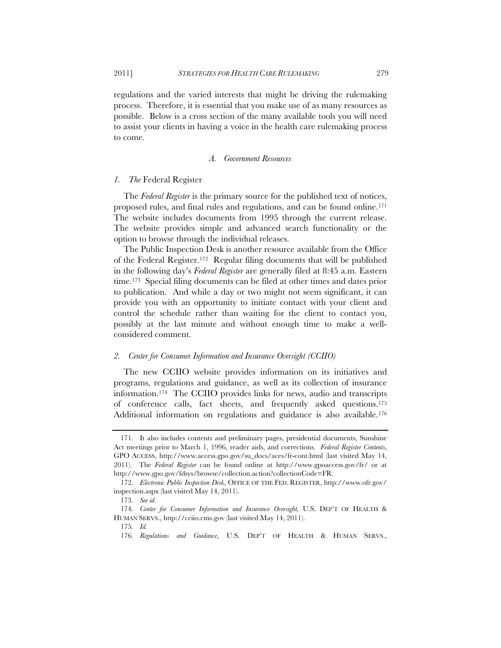regulations and the varied interests that might be driving the rulemaking process. Therefore, it is essential that you make use of as many resources as possible. Below is a cross section of the many available tools you will need to assist your clients in having a voice in the health care rulemaking process to come.

## *A. Government Resources*

## *1. The* Federal Register

The *Federal Register* is the primary source for the published text of notices, proposed rules, and final rules and regulations, and can be found online.171 The website includes documents from 1995 through the current release. The website provides simple and advanced search functionality or the option to browse through the individual releases.

The Public Inspection Desk is another resource available from the Office of the Federal Register.172 Regular filing documents that will be published in the following day's *Federal Register* are generally filed at 8:45 a.m. Eastern time.173 Special filing documents can be filed at other times and dates prior to publication. And while a day or two might not seem significant, it can provide you with an opportunity to initiate contact with your client and control the schedule rather than waiting for the client to contact you, possibly at the last minute and without enough time to make a wellconsidered comment.

## *2. Center for Consumer Information and Insurance Oversight (CCIIO)*

The new CCIIO website provides information on its initiatives and programs, regulations and guidance, as well as its collection of insurance information.174 The CCIIO provides links for news, audio and transcripts of conference calls, fact sheets, and frequently asked questions.175 Additional information on regulations and guidance is also available.<sup>176</sup>

 <sup>171.</sup> It also includes contents and preliminary pages, presidential documents, Sunshine Act meetings prior to March 1, 1996, reader aids, and corrections. *Federal Register Contents*, GPO ACCESS, http://www.access.gpo.gov/su\_docs/aces/fr-cont.html (last visited May 14, 2011). The *Federal Register* can be found online at http://www.gpoaccess.gov/fr/ or at http://www.gpo.gov/fdsys/browse/collection.action?collectionCode=FR.

<sup>172</sup>*. Electronic Public Inspection Desk*, OFFICE OF THE FED. REGISTER, http://www.ofr.gov/ inspection.aspx (last visited May 14, 2011).

 <sup>173.</sup> *See id*.

<sup>174</sup>*. Center for Consumer Information and Insurance Oversight,* U.S. DEP'T OF HEALTH & HUMAN SERVS., http://cciio.cms.gov (last visited May 14, 2011).

<sup>175</sup>*. Id.*

<sup>176</sup>*. Regulations and Guidance*, U.S. DEP'T OF HEALTH & HUMAN SERVS.,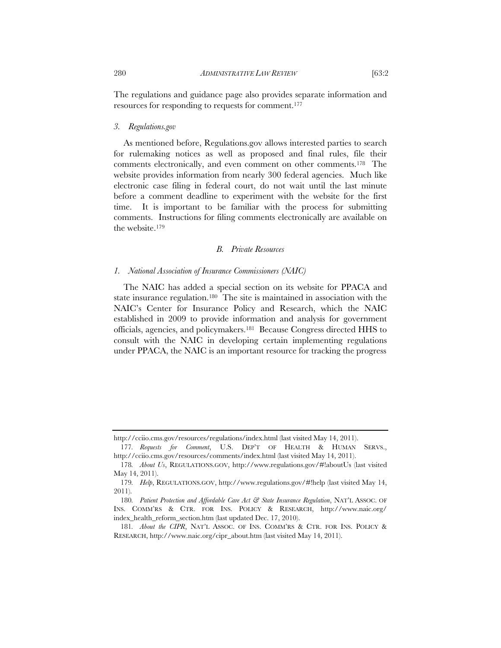The regulations and guidance page also provides separate information and resources for responding to requests for comment.177

## *3. Regulations.gov*

As mentioned before, Regulations.gov allows interested parties to search for rulemaking notices as well as proposed and final rules, file their comments electronically, and even comment on other comments.178 The website provides information from nearly 300 federal agencies. Much like electronic case filing in federal court, do not wait until the last minute before a comment deadline to experiment with the website for the first time. It is important to be familiar with the process for submitting comments. Instructions for filing comments electronically are available on the website.179

# *B. Private Resources*

## *1. National Association of Insurance Commissioners (NAIC)*

The NAIC has added a special section on its website for PPACA and state insurance regulation.180 The site is maintained in association with the NAIC's Center for Insurance Policy and Research, which the NAIC established in 2009 to provide information and analysis for government officials, agencies, and policymakers.181 Because Congress directed HHS to consult with the NAIC in developing certain implementing regulations under PPACA, the NAIC is an important resource for tracking the progress

http://cciio.cms.gov/resources/regulations/index.html (last visited May 14, 2011).

<sup>177</sup>*. Requests for Comment*, U.S. DEP'T OF HEALTH & HUMAN SERVS., http://cciio.cms.gov/resources/comments/index.html (last visited May 14, 2011).

<sup>178</sup>*. About Us*, REGULATIONS.GOV, http://www.regulations.gov/#!aboutUs (last visited May 14, 2011).

<sup>179</sup>*. Help*, REGULATIONS.GOV, http://www.regulations.gov/#!help (last visited May 14, 2011).

<sup>180.</sup> Patient Protection and Affordable Care Act & State Insurance Regulation, NAT'L ASSOC. OF INS. COMM'RS & CTR. FOR INS. POLICY & RESEARCH, http://www.naic.org/ index\_health\_reform\_section.htm (last updated Dec. 17, 2010).

<sup>181</sup>*. About the CIPR*, NAT'L ASSOC. OF INS. COMM'RS & CTR. FOR INS. POLICY & RESEARCH, http://www.naic.org/cipr\_about.htm (last visited May 14, 2011).